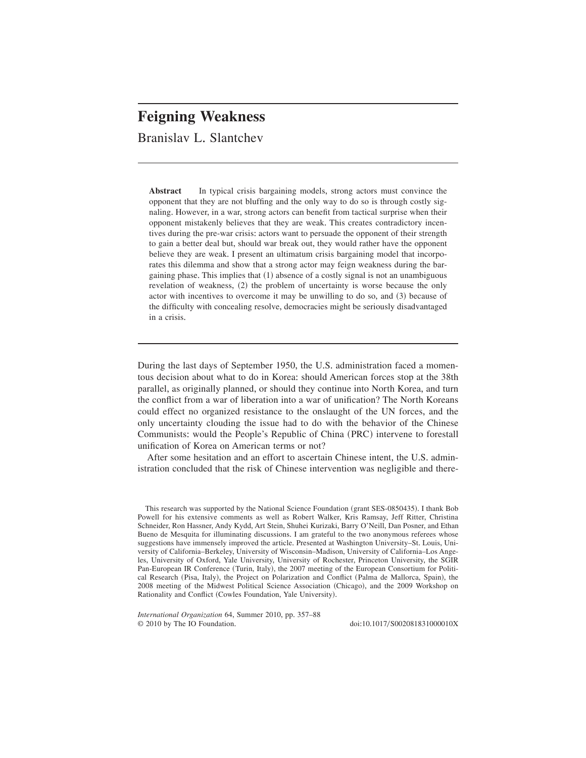# **Feigning Weakness**

Branislav L. Slantchev

**Abstract** In typical crisis bargaining models, strong actors must convince the opponent that they are not bluffing and the only way to do so is through costly signaling. However, in a war, strong actors can benefit from tactical surprise when their opponent mistakenly believes that they are weak. This creates contradictory incentives during the pre-war crisis: actors want to persuade the opponent of their strength to gain a better deal but, should war break out, they would rather have the opponent believe they are weak. I present an ultimatum crisis bargaining model that incorporates this dilemma and show that a strong actor may feign weakness during the bargaining phase. This implies that  $(1)$  absence of a costly signal is not an unambiguous revelation of weakness,  $(2)$  the problem of uncertainty is worse because the only actor with incentives to overcome it may be unwilling to do so, and  $(3)$  because of the difficulty with concealing resolve, democracies might be seriously disadvantaged in a crisis.

During the last days of September 1950, the U.S. administration faced a momentous decision about what to do in Korea: should American forces stop at the 38th parallel, as originally planned, or should they continue into North Korea, and turn the conflict from a war of liberation into a war of unification? The North Koreans could effect no organized resistance to the onslaught of the UN forces, and the only uncertainty clouding the issue had to do with the behavior of the Chinese Communists: would the People's Republic of China (PRC) intervene to forestall unification of Korea on American terms or not?

After some hesitation and an effort to ascertain Chinese intent, the U.S. administration concluded that the risk of Chinese intervention was negligible and there-

This research was supported by the National Science Foundation (grant SES-0850435). I thank Bob Powell for his extensive comments as well as Robert Walker, Kris Ramsay, Jeff Ritter, Christina Schneider, Ron Hassner, Andy Kydd, Art Stein, Shuhei Kurizaki, Barry O'Neill, Dan Posner, and Ethan Bueno de Mesquita for illuminating discussions. I am grateful to the two anonymous referees whose suggestions have immensely improved the article. Presented at Washington University–St. Louis, University of California–Berkeley, University of Wisconsin–Madison, University of California–Los Angeles, University of Oxford, Yale University, University of Rochester, Princeton University, the SGIR Pan-European IR Conference (Turin, Italy), the 2007 meeting of the European Consortium for Political Research (Pisa, Italy), the Project on Polarization and Conflict (Palma de Mallorca, Spain), the 2008 meeting of the Midwest Political Science Association (Chicago), and the 2009 Workshop on Rationality and Conflict (Cowles Foundation, Yale University).

*International Organization* 64, Summer 2010, pp. 357–88  $\degree$  2010 by The IO Foundation.  $\degree$  doi:10.1017/S002081831000010X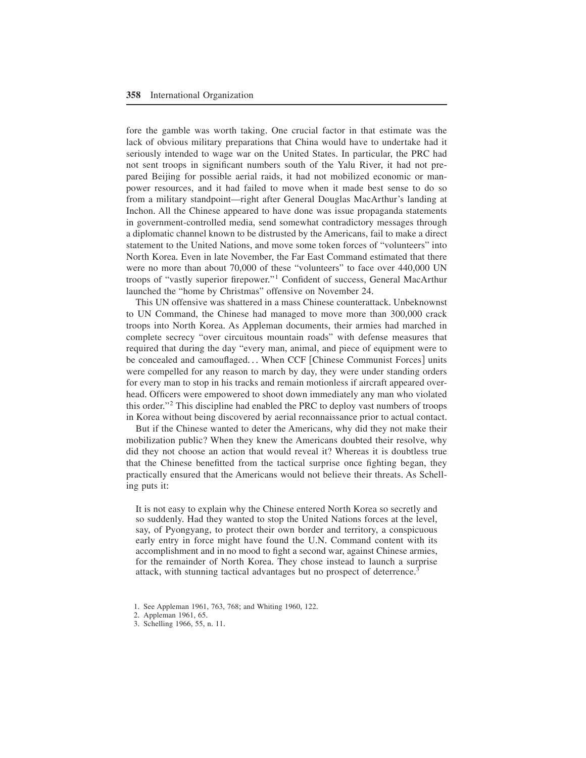fore the gamble was worth taking. One crucial factor in that estimate was the lack of obvious military preparations that China would have to undertake had it seriously intended to wage war on the United States. In particular, the PRC had not sent troops in significant numbers south of the Yalu River, it had not prepared Beijing for possible aerial raids, it had not mobilized economic or manpower resources, and it had failed to move when it made best sense to do so from a military standpoint—right after General Douglas MacArthur's landing at Inchon, All the Chinese appeared to have done was issue propaganda statements in government-controlled media, send somewhat contradictory messages through a diplomatic channel known to be distrusted by the Americans, fail to make a direct statement to the United Nations, and move some token forces of "volunteers" into North Korea. Even in late November, the Far East Command estimated that there were no more than about 70,000 of these "volunteers" to face over 440,000 UN troops of "vastly superior firepower."<sup>1</sup> Confident of success, General MacArthur launched the "home by Christmas" offensive on November 24.

This UN offensive was shattered in a mass Chinese counterattack+ Unbeknownst to UN Command, the Chinese had managed to move more than 300,000 crack troops into North Korea+ As Appleman documents, their armies had marched in complete secrecy "over circuitous mountain roads" with defense measures that required that during the day "every man, animal, and piece of equipment were to be concealed and camouflaged... When CCF [Chinese Communist Forces] units were compelled for any reason to march by day, they were under standing orders for every man to stop in his tracks and remain motionless if aircraft appeared overhead. Officers were empowered to shoot down immediately any man who violated this order."<sup>2</sup> This discipline had enabled the PRC to deploy vast numbers of troops in Korea without being discovered by aerial reconnaissance prior to actual contact.

But if the Chinese wanted to deter the Americans, why did they not make their mobilization public? When they knew the Americans doubted their resolve, why did they not choose an action that would reveal it? Whereas it is doubtless true that the Chinese benefitted from the tactical surprise once fighting began, they practically ensured that the Americans would not believe their threats. As Schelling puts it:

It is not easy to explain why the Chinese entered North Korea so secretly and so suddenly. Had they wanted to stop the United Nations forces at the level, say, of Pyongyang, to protect their own border and territory, a conspicuous early entry in force might have found the U.N. Command content with its accomplishment and in no mood to fight a second war, against Chinese armies, for the remainder of North Korea. They chose instead to launch a surprise attack, with stunning tactical advantages but no prospect of deterrence.<sup>3</sup>

- 2. Appleman 1961, 65.
- 3. Schelling 1966, 55, n. 11.

<sup>1.</sup> See Appleman 1961, 763, 768; and Whiting 1960, 122.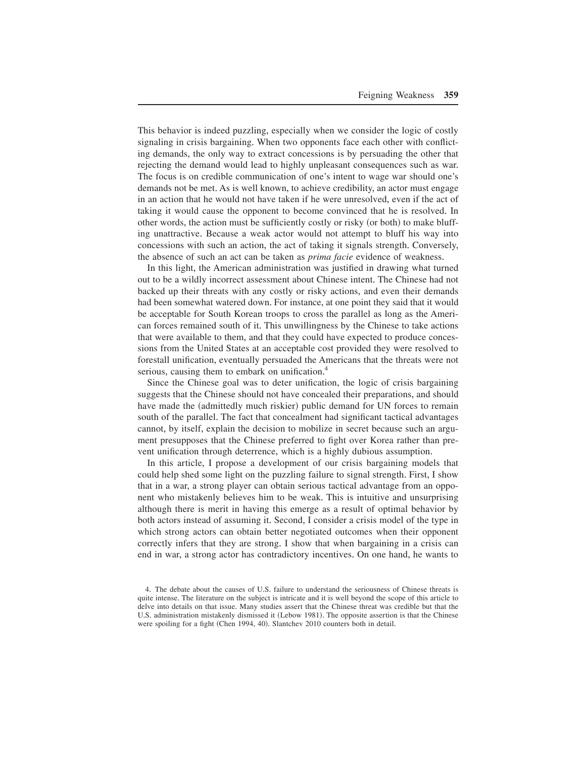This behavior is indeed puzzling, especially when we consider the logic of costly signaling in crisis bargaining. When two opponents face each other with conflicting demands, the only way to extract concessions is by persuading the other that rejecting the demand would lead to highly unpleasant consequences such as war. The focus is on credible communication of one's intent to wage war should one's demands not be met. As is well known, to achieve credibility, an actor must engage in an action that he would not have taken if he were unresolved, even if the act of taking it would cause the opponent to become convinced that he is resolved. In other words, the action must be sufficiently costly or risky (or both) to make bluffing unattractive. Because a weak actor would not attempt to bluff his way into concessions with such an action, the act of taking it signals strength. Conversely, the absence of such an act can be taken as *prima facie* evidence of weakness.

In this light, the American administration was justified in drawing what turned out to be a wildly incorrect assessment about Chinese intent. The Chinese had not backed up their threats with any costly or risky actions, and even their demands had been somewhat watered down. For instance, at one point they said that it would be acceptable for South Korean troops to cross the parallel as long as the American forces remained south of it. This unwillingness by the Chinese to take actions that were available to them, and that they could have expected to produce concessions from the United States at an acceptable cost provided they were resolved to forestall unification, eventually persuaded the Americans that the threats were not serious, causing them to embark on unification.<sup>4</sup>

Since the Chinese goal was to deter unification, the logic of crisis bargaining suggests that the Chinese should not have concealed their preparations, and should have made the (admittedly much riskier) public demand for UN forces to remain south of the parallel. The fact that concealment had significant tactical advantages cannot, by itself, explain the decision to mobilize in secret because such an argument presupposes that the Chinese preferred to fight over Korea rather than prevent unification through deterrence, which is a highly dubious assumption+

In this article, I propose a development of our crisis bargaining models that could help shed some light on the puzzling failure to signal strength. First, I show that in a war, a strong player can obtain serious tactical advantage from an opponent who mistakenly believes him to be weak. This is intuitive and unsurprising although there is merit in having this emerge as a result of optimal behavior by both actors instead of assuming it. Second, I consider a crisis model of the type in which strong actors can obtain better negotiated outcomes when their opponent correctly infers that they are strong. I show that when bargaining in a crisis can end in war, a strong actor has contradictory incentives. On one hand, he wants to

<sup>4.</sup> The debate about the causes of U.S. failure to understand the seriousness of Chinese threats is quite intense. The literature on the subject is intricate and it is well beyond the scope of this article to delve into details on that issue. Many studies assert that the Chinese threat was credible but that the U.S. administration mistakenly dismissed it (Lebow 1981). The opposite assertion is that the Chinese were spoiling for a fight  $(Chen 1994, 40)$ . Slantchev 2010 counters both in detail.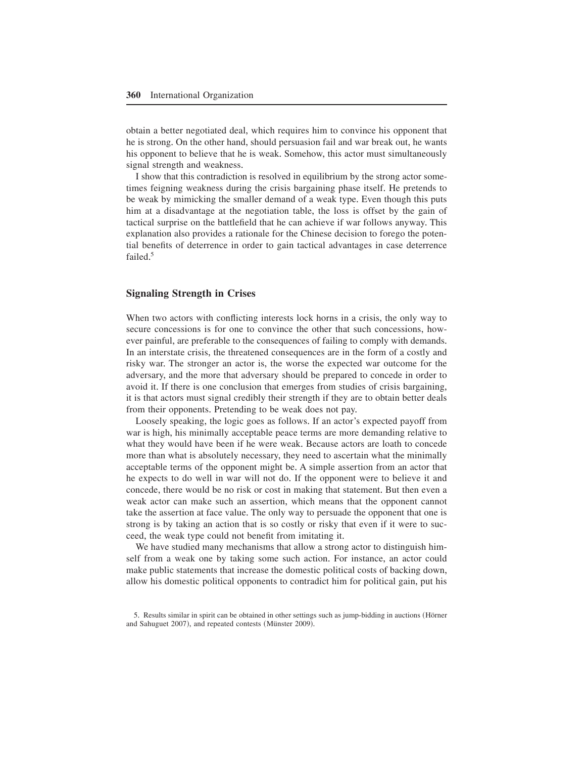obtain a better negotiated deal, which requires him to convince his opponent that he is strong. On the other hand, should persuasion fail and war break out, he wants his opponent to believe that he is weak. Somehow, this actor must simultaneously signal strength and weakness.

I show that this contradiction is resolved in equilibrium by the strong actor sometimes feigning weakness during the crisis bargaining phase itself. He pretends to be weak by mimicking the smaller demand of a weak type. Even though this puts him at a disadvantage at the negotiation table, the loss is offset by the gain of tactical surprise on the battlefield that he can achieve if war follows anyway. This explanation also provides a rationale for the Chinese decision to forego the potential benefits of deterrence in order to gain tactical advantages in case deterrence failed. $5$ 

# **Signaling Strength in Crises**

When two actors with conflicting interests lock horns in a crisis, the only way to secure concessions is for one to convince the other that such concessions, however painful, are preferable to the consequences of failing to comply with demands. In an interstate crisis, the threatened consequences are in the form of a costly and risky war. The stronger an actor is, the worse the expected war outcome for the adversary, and the more that adversary should be prepared to concede in order to avoid it. If there is one conclusion that emerges from studies of crisis bargaining, it is that actors must signal credibly their strength if they are to obtain better deals from their opponents. Pretending to be weak does not pay.

Loosely speaking, the logic goes as follows. If an actor's expected payoff from war is high, his minimally acceptable peace terms are more demanding relative to what they would have been if he were weak. Because actors are loath to concede more than what is absolutely necessary, they need to ascertain what the minimally acceptable terms of the opponent might be. A simple assertion from an actor that he expects to do well in war will not do. If the opponent were to believe it and concede, there would be no risk or cost in making that statement. But then even a weak actor can make such an assertion, which means that the opponent cannot take the assertion at face value. The only way to persuade the opponent that one is strong is by taking an action that is so costly or risky that even if it were to succeed, the weak type could not benefit from imitating it.

We have studied many mechanisms that allow a strong actor to distinguish himself from a weak one by taking some such action. For instance, an actor could make public statements that increase the domestic political costs of backing down, allow his domestic political opponents to contradict him for political gain, put his

<sup>5.</sup> Results similar in spirit can be obtained in other settings such as jump-bidding in auctions (Hörner and Sahuguet 2007), and repeated contests (Münster 2009).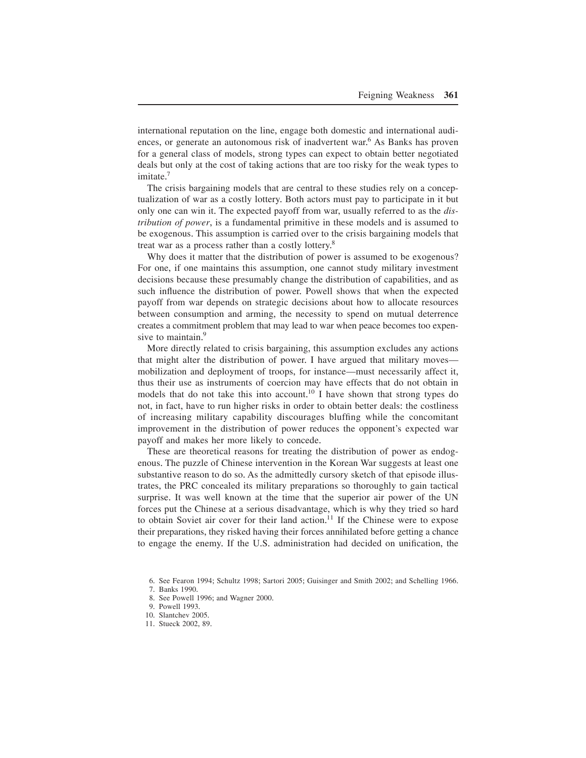international reputation on the line, engage both domestic and international audiences, or generate an autonomous risk of inadvertent war.<sup>6</sup> As Banks has proven for a general class of models, strong types can expect to obtain better negotiated deals but only at the cost of taking actions that are too risky for the weak types to imitate. $^7$ 

The crisis bargaining models that are central to these studies rely on a conceptualization of war as a costly lottery. Both actors must pay to participate in it but only one can win it. The expected payoff from war, usually referred to as the *distribution of power*, is a fundamental primitive in these models and is assumed to be exogenous. This assumption is carried over to the crisis bargaining models that treat war as a process rather than a costly lottery.<sup>8</sup>

Why does it matter that the distribution of power is assumed to be exogenous? For one, if one maintains this assumption, one cannot study military investment decisions because these presumably change the distribution of capabilities, and as such influence the distribution of power. Powell shows that when the expected payoff from war depends on strategic decisions about how to allocate resources between consumption and arming, the necessity to spend on mutual deterrence creates a commitment problem that may lead to war when peace becomes too expensive to maintain.<sup>9</sup>

More directly related to crisis bargaining, this assumption excludes any actions that might alter the distribution of power. I have argued that military moves mobilization and deployment of troops, for instance—must necessarily affect it, thus their use as instruments of coercion may have effects that do not obtain in models that do not take this into account.<sup>10</sup> I have shown that strong types do not, in fact, have to run higher risks in order to obtain better deals: the costliness of increasing military capability discourages bluffing while the concomitant improvement in the distribution of power reduces the opponent's expected war payoff and makes her more likely to concede.

These are theoretical reasons for treating the distribution of power as endogenous. The puzzle of Chinese intervention in the Korean War suggests at least one substantive reason to do so. As the admittedly cursory sketch of that episode illustrates, the PRC concealed its military preparations so thoroughly to gain tactical surprise. It was well known at the time that the superior air power of the UN forces put the Chinese at a serious disadvantage, which is why they tried so hard to obtain Soviet air cover for their land action.<sup>11</sup> If the Chinese were to expose their preparations, they risked having their forces annihilated before getting a chance to engage the enemy. If the U.S. administration had decided on unification, the

- 8. See Powell 1996; and Wagner 2000.
- 9. Powell 1993.
- 10. Slantchev 2005.
- 11. Stueck 2002, 89.

<sup>6.</sup> See Fearon 1994; Schultz 1998; Sartori 2005; Guisinger and Smith 2002; and Schelling 1966.

<sup>7.</sup> Banks 1990.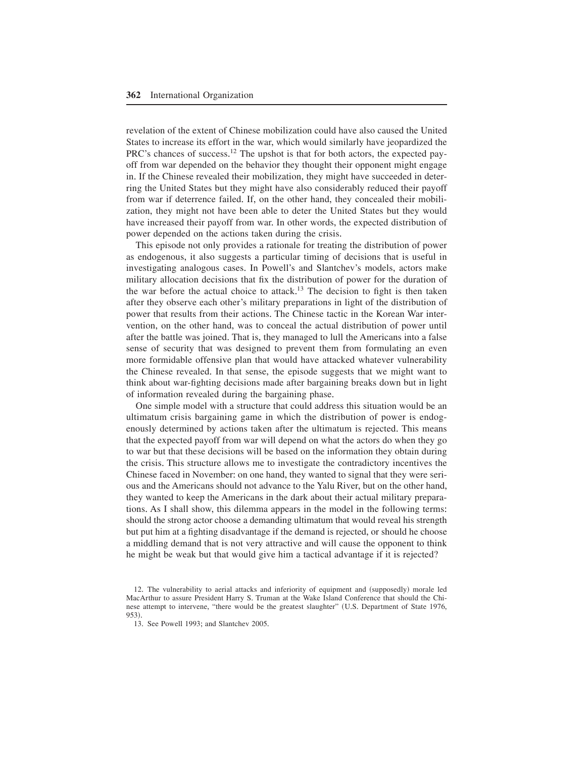revelation of the extent of Chinese mobilization could have also caused the United States to increase its effort in the war, which would similarly have jeopardized the PRC's chances of success.<sup>12</sup> The upshot is that for both actors, the expected payoff from war depended on the behavior they thought their opponent might engage in. If the Chinese revealed their mobilization, they might have succeeded in deterring the United States but they might have also considerably reduced their payoff from war if deterrence failed. If, on the other hand, they concealed their mobilization, they might not have been able to deter the United States but they would have increased their payoff from war. In other words, the expected distribution of power depended on the actions taken during the crisis.

This episode not only provides a rationale for treating the distribution of power as endogenous, it also suggests a particular timing of decisions that is useful in investigating analogous cases. In Powell's and Slantchev's models, actors make military allocation decisions that fix the distribution of power for the duration of the war before the actual choice to attack.<sup>13</sup> The decision to fight is then taken after they observe each other's military preparations in light of the distribution of power that results from their actions. The Chinese tactic in the Korean War intervention, on the other hand, was to conceal the actual distribution of power until after the battle was joined. That is, they managed to lull the Americans into a false sense of security that was designed to prevent them from formulating an even more formidable offensive plan that would have attacked whatever vulnerability the Chinese revealed. In that sense, the episode suggests that we might want to think about war-fighting decisions made after bargaining breaks down but in light of information revealed during the bargaining phase.

One simple model with a structure that could address this situation would be an ultimatum crisis bargaining game in which the distribution of power is endogenously determined by actions taken after the ultimatum is rejected. This means that the expected payoff from war will depend on what the actors do when they go to war but that these decisions will be based on the information they obtain during the crisis. This structure allows me to investigate the contradictory incentives the Chinese faced in November: on one hand, they wanted to signal that they were serious and the Americans should not advance to the Yalu River, but on the other hand, they wanted to keep the Americans in the dark about their actual military preparations. As I shall show, this dilemma appears in the model in the following terms: should the strong actor choose a demanding ultimatum that would reveal his strength but put him at a fighting disadvantage if the demand is rejected, or should he choose a middling demand that is not very attractive and will cause the opponent to think he might be weak but that would give him a tactical advantage if it is rejected?

<sup>12.</sup> The vulnerability to aerial attacks and inferiority of equipment and (supposedly) morale led MacArthur to assure President Harry S. Truman at the Wake Island Conference that should the Chinese attempt to intervene, "there would be the greatest slaughter" (U.S. Department of State 1976, 953).

<sup>13.</sup> See Powell 1993; and Slantchev 2005.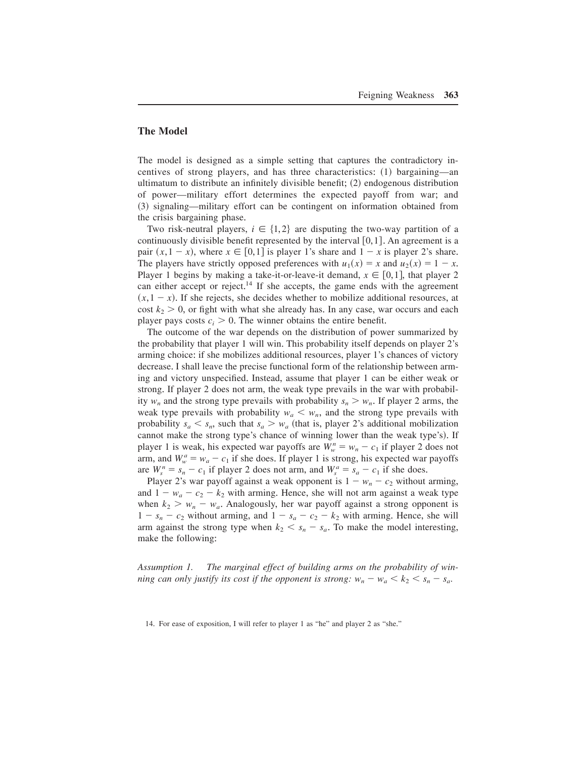# **The Model**

The model is designed as a simple setting that captures the contradictory incentives of strong players, and has three characteristics: (1) bargaining—an ultimatum to distribute an infinitely divisible benefit;  $(2)$  endogenous distribution of power—military effort determines the expected payoff from war; and ~3! signaling—military effort can be contingent on information obtained from the crisis bargaining phase.

Two risk-neutral players,  $i \in \{1, 2\}$  are disputing the two-way partition of a continuously divisible benefit represented by the interval  $[0,1]$ . An agreement is a pair  $(x, 1 - x)$ , where  $x \in [0, 1]$  is player 1's share and  $1 - x$  is player 2's share. The players have strictly opposed preferences with  $u_1(x) = x$  and  $u_2(x) = 1 - x$ . Player 1 begins by making a take-it-or-leave-it demand,  $x \in [0,1]$ , that player 2 can either accept or reject.<sup>14</sup> If she accepts, the game ends with the agreement  $(x, 1 - x)$ . If she rejects, she decides whether to mobilize additional resources, at cost  $k_2 > 0$ , or fight with what she already has. In any case, war occurs and each player pays costs  $c_i > 0$ . The winner obtains the entire benefit.

The outcome of the war depends on the distribution of power summarized by the probability that player 1 will win+ This probability itself depends on player 2's arming choice: if she mobilizes additional resources, player 1's chances of victory decrease. I shall leave the precise functional form of the relationship between arming and victory unspecified. Instead, assume that player 1 can be either weak or strong. If player 2 does not arm, the weak type prevails in the war with probability  $w_n$  and the strong type prevails with probability  $s_n > w_n$ . If player 2 arms, the weak type prevails with probability  $w_a < w_n$ , and the strong type prevails with probability  $s_a < s_n$ , such that  $s_a > w_a$  (that is, player 2's additional mobilization cannot make the strong type's chance of winning lower than the weak type's). If player 1 is weak, his expected war payoffs are  $W_w^n = w_n - c_1$  if player 2 does not arm, and  $W_w^a = w_a - c_1$  if she does. If player 1 is strong, his expected war payoffs are  $W_s^n = s_n - c_1$  if player 2 does not arm, and  $W_s^n = s_a - c_1$  if she does.

Player 2's war payoff against a weak opponent is  $1 - w_n - c_2$  without arming, and  $1 - w_a - c_2 - k_2$  with arming. Hence, she will not arm against a weak type when  $k_2 > w_n - w_a$ . Analogously, her war payoff against a strong opponent is  $1 - s_n - c_2$  without arming, and  $1 - s_a - c_2 - k_2$  with arming. Hence, she will arm against the strong type when  $k_2 < s_n - s_a$ . To make the model interesting, make the following:

*Assumption 1. The marginal effect of building arms on the probability of winning can only justify its cost if the opponent is strong:*  $w_n - w_a < k_2 < s_n - s_a$ .

<sup>14.</sup> For ease of exposition, I will refer to player 1 as "he" and player 2 as "she."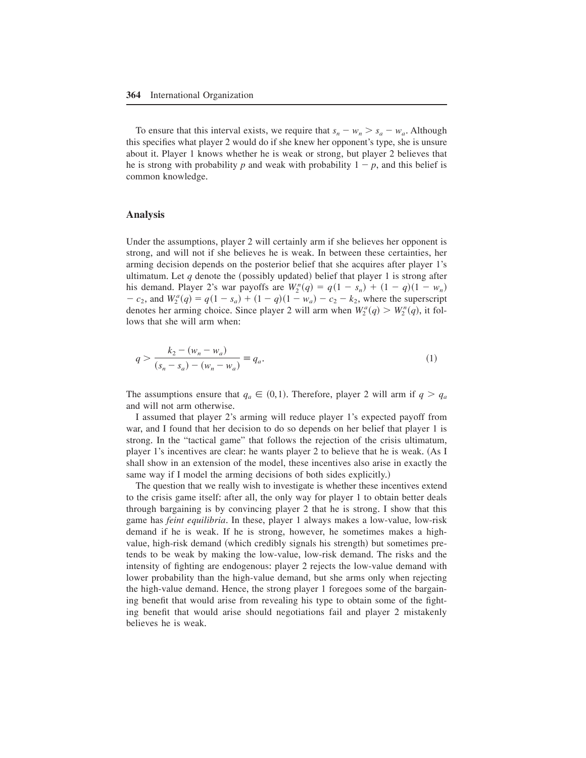To ensure that this interval exists, we require that  $s_n - w_n > s_a - w_a$ . Although this specifies what player 2 would do if she knew her opponent's type, she is unsure about it. Player 1 knows whether he is weak or strong, but player 2 believes that he is strong with probability  $p$  and weak with probability  $1 - p$ , and this belief is common knowledge.

## **Analysis**

Under the assumptions, player 2 will certainly arm if she believes her opponent is strong, and will not if she believes he is weak. In between these certainties, her arming decision depends on the posterior belief that she acquires after player 1's ultimatum. Let *q* denote the (possibly updated) belief that player 1 is strong after his demand. Player 2's war payoffs are  $W_2^n(q) = q(1 - s_n) + (1 - q)(1 - w_n)$  $-c_2$ , and  $W_2^a(q) = q(1 - s_a) + (1 - q)(1 - w_a) - c_2 - k_2$ , where the superscript denotes her arming choice. Since player 2 will arm when  $W_2^a(q) > W_2^a(q)$ , it follows that she will arm when:

$$
q > \frac{k_2 - (w_n - w_a)}{(s_n - s_a) - (w_n - w_a)} \equiv q_a.
$$
\n(1)

The assumptions ensure that  $q_a \in (0,1)$ . Therefore, player 2 will arm if  $q > q_a$ and will not arm otherwise.

I assumed that player 2's arming will reduce player 1's expected payoff from war, and I found that her decision to do so depends on her belief that player 1 is strong. In the "tactical game" that follows the rejection of the crisis ultimatum, player 1's incentives are clear: he wants player 2 to believe that he is weak. (As I shall show in an extension of the model, these incentives also arise in exactly the same way if I model the arming decisions of both sides explicitly.)

The question that we really wish to investigate is whether these incentives extend to the crisis game itself: after all, the only way for player 1 to obtain better deals through bargaining is by convincing player 2 that he is strong. I show that this game has *feint equilibria*. In these, player 1 always makes a low-value, low-risk demand if he is weak. If he is strong, however, he sometimes makes a highvalue, high-risk demand (which credibly signals his strength) but sometimes pretends to be weak by making the low-value, low-risk demand. The risks and the intensity of fighting are endogenous: player 2 rejects the low-value demand with lower probability than the high-value demand, but she arms only when rejecting the high-value demand. Hence, the strong player 1 foregoes some of the bargaining benefit that would arise from revealing his type to obtain some of the fighting benefit that would arise should negotiations fail and player 2 mistakenly believes he is weak.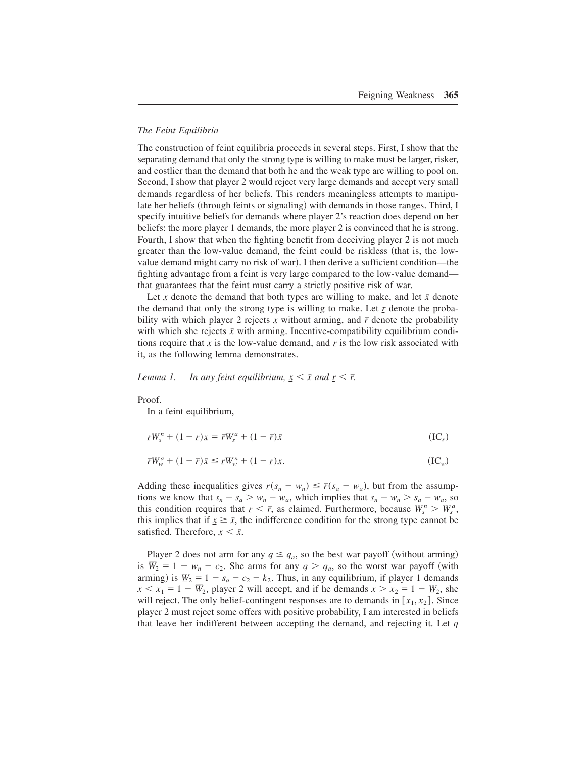## *The Feint Equilibria*

The construction of feint equilibria proceeds in several steps. First, I show that the separating demand that only the strong type is willing to make must be larger, risker, and costlier than the demand that both he and the weak type are willing to pool on. Second, I show that player 2 would reject very large demands and accept very small demands regardless of her beliefs. This renders meaningless attempts to manipulate her beliefs (through feints or signaling) with demands in those ranges. Third, I specify intuitive beliefs for demands where player 2's reaction does depend on her beliefs: the more player 1 demands, the more player 2 is convinced that he is strong+ Fourth, I show that when the fighting benefit from deceiving player 2 is not much greater than the low-value demand, the feint could be riskless (that is, the lowvalue demand might carry no risk of war). I then derive a sufficient condition—the fighting advantage from a feint is very large compared to the low-value demand that guarantees that the feint must carry a strictly positive risk of war.

Let  $\overline{x}$  denote the demand that both types are willing to make, and let  $\overline{x}$  denote the demand that only the strong type is willing to make. Let  $r$  denote the probability with which player 2 rejects  $\chi$  without arming, and  $\bar{r}$  denote the probability with which she rejects  $\bar{x}$  with arming. Incentive-compatibility equilibrium conditions require that  $\chi$  is the low-value demand, and  $\chi$  is the low risk associated with it, as the following lemma demonstrates.

*Lemma 1.* In any feint equilibrium,  $x \leq \bar{x}$  and  $r \leq \bar{r}$ .

## Proof.

In a feint equilibrium,

$$
\underline{r}W_s^n + (1 - \underline{r})\underline{x} = \overline{r}W_s^a + (1 - \overline{r})\overline{x} \tag{IC_s}
$$

$$
\overline{r}W_w^a + (1 - \overline{r})\overline{x} \le \underline{r}W_w^n + (1 - \underline{r})\underline{x}.\tag{IC_w}
$$

Adding these inequalities gives  $r(s_n - w_n) \le \bar{r}(s_a - w_a)$ , but from the assumptions we know that  $s_n - s_a > w_n - w_a$ , which implies that  $s_n - w_n > s_a - w_a$ , so this condition requires that  $r \leq \bar{r}$ , as claimed. Furthermore, because  $W_s^n > W_s^a$ , this implies that if  $x \geq \bar{x}$ , the indifference condition for the strong type cannot be satisfied. Therefore,  $x < \bar{x}$ .

Player 2 does not arm for any  $q \leq q_a$ , so the best war payoff (without arming) is  $W_2 = 1 - w_n - c_2$ . She arms for any  $q > q_a$ , so the worst war payoff (with arming) is  $\underline{W}_2 = 1 - s_a - c_2 - k_2$ . Thus, in any equilibrium, if player 1 demands  $x < x_1 = 1 - W_2$ , player 2 will accept, and if he demands  $x > x_2 = 1 - W_2$ , she will reject. The only belief-contingent responses are to demands in  $[x_1, x_2]$ . Since player 2 must reject some offers with positive probability, I am interested in beliefs that leave her indifferent between accepting the demand, and rejecting it. Let  $q$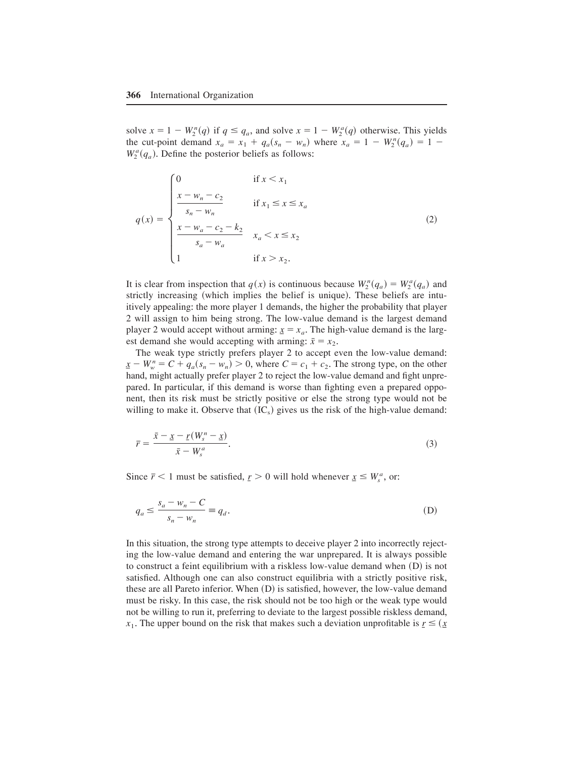solve  $x = 1 - W_2^n(q)$  if  $q \le q_a$ , and solve  $x = 1 - W_2^a(q)$  otherwise. This yields the cut-point demand  $x_a = x_1 + q_a(s_n - w_n)$  where  $x_a = 1 - W_2^n(q_a) = 1 W_2^a(q_a)$ . Define the posterior beliefs as follows:

$$
q(x) = \begin{cases} 0 & \text{if } x < x_1 \\ \frac{x - w_n - c_2}{s_n - w_n} & \text{if } x_1 \le x \le x_a \\ \frac{x - w_a - c_2 - k_2}{s_a - w_a} & x_a < x \le x_2 \\ 1 & \text{if } x > x_2. \end{cases}
$$
(2)

It is clear from inspection that  $q(x)$  is continuous because  $W_2^n(q_a) = W_2^a(q_a)$  and strictly increasing (which implies the belief is unique). These beliefs are intuitively appealing: the more player 1 demands, the higher the probability that player 2 will assign to him being strong+ The low-value demand is the largest demand player 2 would accept without arming:  $x = x_a$ . The high-value demand is the largest demand she would accepting with arming:  $\bar{x} = x_2$ .

The weak type strictly prefers player 2 to accept even the low-value demand:  $\underline{x} - W_w^n = C + q_a(s_n - w_n) > 0$ , where  $C = c_1 + c_2$ . The strong type, on the other hand, might actually prefer player 2 to reject the low-value demand and fight unprepared. In particular, if this demand is worse than fighting even a prepared opponent, then its risk must be strictly positive or else the strong type would not be willing to make it. Observe that  $({\rm IC}_s)$  gives us the risk of the high-value demand:

$$
\overline{r} = \frac{\overline{x} - \underline{x} - \underline{r}(W_s^n - \underline{x})}{\overline{x} - W_s^a}.
$$
\n(3)

Since  $\bar{r}$  < 1 must be satisfied,  $r > 0$  will hold whenever  $x \leq W_s^a$ , or:

$$
q_a \le \frac{s_a - w_n - C}{s_n - w_n} \equiv q_d. \tag{D}
$$

In this situation, the strong type attempts to deceive player 2 into incorrectly rejecting the low-value demand and entering the war unprepared. It is always possible to construct a feint equilibrium with a riskless low-value demand when  $(D)$  is not satisfied. Although one can also construct equilibria with a strictly positive risk, these are all Pareto inferior. When  $(D)$  is satisfied, however, the low-value demand must be risky. In this case, the risk should not be too high or the weak type would not be willing to run it, preferring to deviate to the largest possible riskless demand, *x*<sub>1</sub>. The upper bound on the risk that makes such a deviation unprofitable is  $r \leq (x + r)$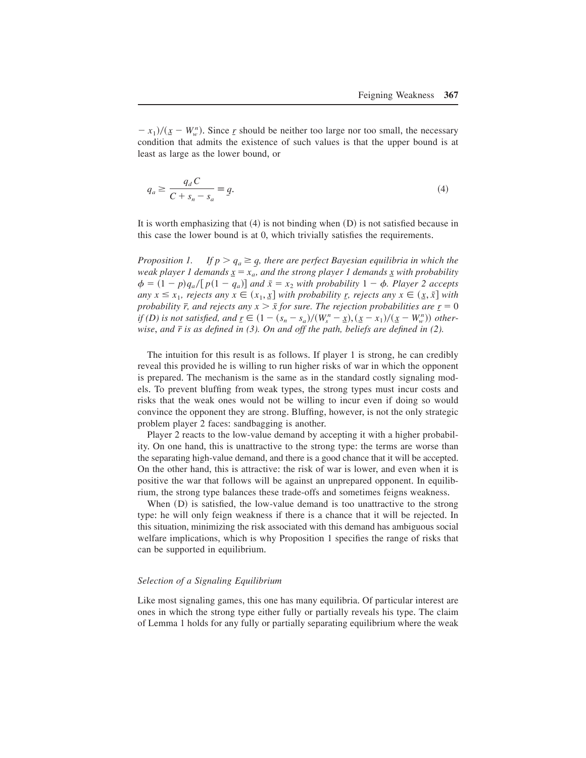$- x_1$ / $(\underline{x} - W_w^n)$ . Since *<u>r</u>* should be neither too large nor too small, the necessary condition that admits the existence of such values is that the upper bound is at least as large as the lower bound, or

$$
q_a \ge \frac{q_d C}{C + s_n - s_a} \equiv q. \tag{4}
$$

It is worth emphasizing that  $(4)$  is not binding when  $(D)$  is not satisfied because in this case the lower bound is at  $0$ , which trivially satisfies the requirements.

*Proposition 1.* If  $p > q_a \geq q$ , there are perfect Bayesian equilibria in which the *weak player 1 demands*  $x = x_a$ , and the strong player 1 demands x with probability  $\phi = (1 - p)q_a/[p(1 - q_a)]$  and  $\bar{x} = x_2$  with probability  $1 - \phi$ . Player 2 accepts  $any \ x \leq x_1, \ rejects \ any \ x \in (x_1, \underline{x}] \ with \ probability \underline{r}, \ rejects \ any \ x \in (\underline{x}, \overline{x}] \ with$ *probability*  $\bar{r}$ *, and rejects any*  $x > \bar{x}$  *for sure. The rejection probabilities are*  $\underline{r} = 0$ *if* (D) is not satisfied, and  $\underline{r} \in (1 - (s_n - s_a)/(W_s^n - \underline{x}), (\underline{x} - x_1)/(\underline{x} - W_w^n))$  other*wise*, *and r is as defined in (3). On and off the path, beliefs are defined in (2).* T

The intuition for this result is as follows. If player 1 is strong, he can credibly reveal this provided he is willing to run higher risks of war in which the opponent is prepared. The mechanism is the same as in the standard costly signaling models. To prevent bluffing from weak types, the strong types must incur costs and risks that the weak ones would not be willing to incur even if doing so would convince the opponent they are strong+ Bluffing, however, is not the only strategic problem player 2 faces: sandbagging is another.

Player 2 reacts to the low-value demand by accepting it with a higher probability. On one hand, this is unattractive to the strong type: the terms are worse than the separating high-value demand, and there is a good chance that it will be accepted. On the other hand, this is attractive: the risk of war is lower, and even when it is positive the war that follows will be against an unprepared opponent. In equilibrium, the strong type balances these trade-offs and sometimes feigns weakness+

When  $(D)$  is satisfied, the low-value demand is too unattractive to the strong type: he will only feign weakness if there is a chance that it will be rejected. In this situation, minimizing the risk associated with this demand has ambiguous social welfare implications, which is why Proposition 1 specifies the range of risks that can be supported in equilibrium.

#### *Selection of a Signaling Equilibrium*

Like most signaling games, this one has many equilibria. Of particular interest are ones in which the strong type either fully or partially reveals his type+ The claim of Lemma 1 holds for any fully or partially separating equilibrium where the weak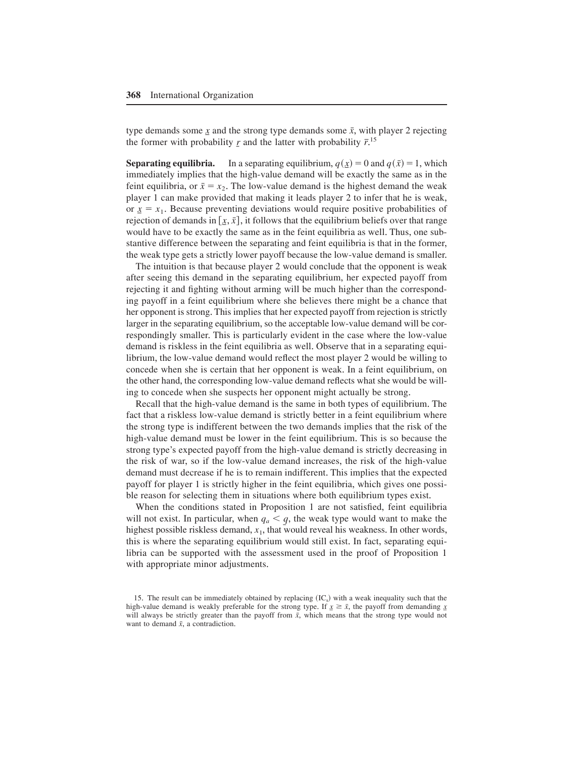type demands some  $\dot{x}$  and the strong type demands some  $\bar{x}$ , with player 2 rejecting the former with probability  $\underline{r}$  and the latter with probability  $\overline{r}$ <sup>15</sup>

**Separating equilibria.** In a separating equilibrium,  $q(x) = 0$  and  $q(\bar{x}) = 1$ , which immediately implies that the high-value demand will be exactly the same as in the feint equilibria, or  $\bar{x} = x_2$ . The low-value demand is the highest demand the weak player 1 can make provided that making it leads player 2 to infer that he is weak, or  $x = x_1$ . Because preventing deviations would require positive probabilities of rejection of demands in  $[x, \overline{x}]$ , it follows that the equilibrium beliefs over that range would have to be exactly the same as in the feint equilibria as well. Thus, one substantive difference between the separating and feint equilibria is that in the former, the weak type gets a strictly lower payoff because the low-value demand is smaller.

The intuition is that because player 2 would conclude that the opponent is weak after seeing this demand in the separating equilibrium, her expected payoff from rejecting it and fighting without arming will be much higher than the corresponding payoff in a feint equilibrium where she believes there might be a chance that her opponent is strong. This implies that her expected payoff from rejection is strictly larger in the separating equilibrium, so the acceptable low-value demand will be correspondingly smaller. This is particularly evident in the case where the low-value demand is riskless in the feint equilibria as well. Observe that in a separating equilibrium, the low-value demand would reflect the most player 2 would be willing to concede when she is certain that her opponent is weak. In a feint equilibrium, on the other hand, the corresponding low-value demand reflects what she would be willing to concede when she suspects her opponent might actually be strong.

Recall that the high-value demand is the same in both types of equilibrium. The fact that a riskless low-value demand is strictly better in a feint equilibrium where the strong type is indifferent between the two demands implies that the risk of the high-value demand must be lower in the feint equilibrium. This is so because the strong type's expected payoff from the high-value demand is strictly decreasing in the risk of war, so if the low-value demand increases, the risk of the high-value demand must decrease if he is to remain indifferent. This implies that the expected payoff for player 1 is strictly higher in the feint equilibria, which gives one possible reason for selecting them in situations where both equilibrium types exist.

When the conditions stated in Proposition 1 are not satisfied, feint equilibria will not exist. In particular, when  $q_a < q$ , the weak type would want to make the highest possible riskless demand,  $x_1$ , that would reveal his weakness. In other words, this is where the separating equilibrium would still exist. In fact, separating equilibria can be supported with the assessment used in the proof of Proposition 1 with appropriate minor adjustments.

<sup>15.</sup> The result can be immediately obtained by replacing  $({\rm IC}_{\rm s})$  with a weak inequality such that the high-value demand is weakly preferable for the strong type. If  $x \geq \bar{x}$ , the payoff from demanding *x* will always be strictly greater than the payoff from  $\bar{x}$ , which means that the strong type would not want to demand  $\bar{x}$ , a contradiction.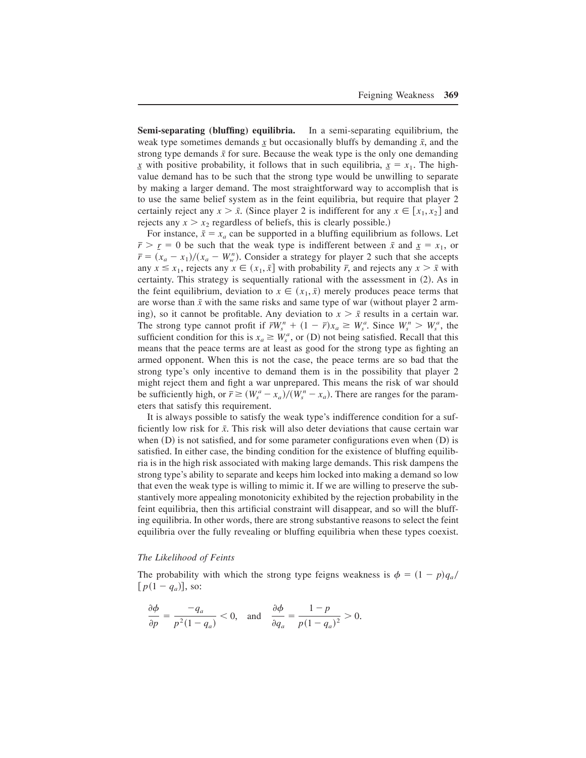**Semi-separating (bluffing) equilibria.** In a semi-separating equilibrium, the weak type sometimes demands  $\chi$  but occasionally bluffs by demanding  $\bar{x}$ , and the strong type demands  $\bar{x}$  for sure. Because the weak type is the only one demanding *x* with positive probability, it follows that in such equilibria,  $x = x_1$ . The highvalue demand has to be such that the strong type would be unwilling to separate by making a larger demand. The most straightforward way to accomplish that is to use the same belief system as in the feint equilibria, but require that player 2 certainly reject any  $x > \bar{x}$ . (Since player 2 is indifferent for any  $x \in [x_1, x_2]$  and rejects any  $x > x_2$  regardless of beliefs, this is clearly possible.)

For instance,  $\bar{x} = x_a$  can be supported in a bluffing equilibrium as follows. Let  $\bar{r} > r = 0$  be such that the weak type is indifferent between  $\bar{x}$  and  $\bar{x} = x_1$ , or  $\bar{r} = (x_a - x_1)/(x_a - W_w^n)$ . Consider a strategy for player 2 such that she accepts any  $x \le x_1$ , rejects any  $x \in (x_1, \bar{x}]$  with probability  $\bar{r}$ , and rejects any  $x > \bar{x}$  with certainty. This strategy is sequentially rational with the assessment in  $(2)$ . As in the feint equilibrium, deviation to  $x \in (x_1, \bar{x})$  merely produces peace terms that are worse than  $\bar{x}$  with the same risks and same type of war (without player 2 arming), so it cannot be profitable. Any deviation to  $x > \bar{x}$  results in a certain war. The strong type cannot profit if  $\bar{r}W_s^n + (1 - \bar{r})x_a \ge W_s^a$ . Since  $W_s^n > W_s^a$ , the sufficient condition for this is  $x_a \geq W_s^a$ , or (D) not being satisfied. Recall that this means that the peace terms are at least as good for the strong type as fighting an armed opponent. When this is not the case, the peace terms are so bad that the strong type's only incentive to demand them is in the possibility that player 2 might reject them and fight a war unprepared. This means the risk of war should be sufficiently high, or  $\bar{r} \ge (W_s^a - x_a)/(W_s^b - x_a)$ . There are ranges for the parameters that satisfy this requirement.

It is always possible to satisfy the weak type's indifference condition for a sufficiently low risk for  $\bar{x}$ . This risk will also deter deviations that cause certain war when  $(D)$  is not satisfied, and for some parameter configurations even when  $(D)$  is satisfied. In either case, the binding condition for the existence of bluffing equilibria is in the high risk associated with making large demands+ This risk dampens the strong type's ability to separate and keeps him locked into making a demand so low that even the weak type is willing to mimic it. If we are willing to preserve the substantively more appealing monotonicity exhibited by the rejection probability in the feint equilibria, then this artificial constraint will disappear, and so will the bluffing equilibria. In other words, there are strong substantive reasons to select the feint equilibria over the fully revealing or bluffing equilibria when these types coexist.

#### *The Likelihood of Feints*

The probability with which the strong type feigns weakness is  $\phi = (1 - p)q_a/$  $[p(1 - q_a)],$  so:

$$
\frac{\partial \phi}{\partial p} = \frac{-q_a}{p^2(1 - q_a)} < 0, \quad \text{and} \quad \frac{\partial \phi}{\partial q_a} = \frac{1 - p}{p(1 - q_a)^2} > 0.
$$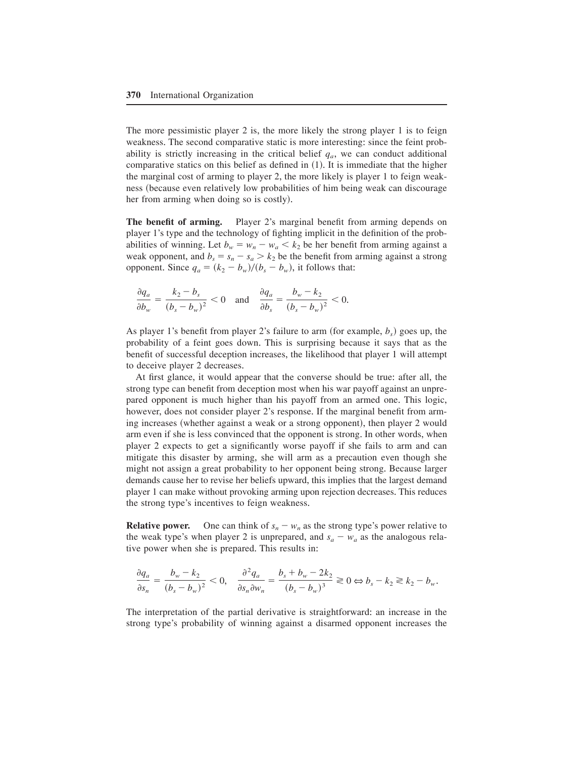The more pessimistic player 2 is, the more likely the strong player 1 is to feign weakness. The second comparative static is more interesting: since the feint probability is strictly increasing in the critical belief  $q_a$ , we can conduct additional comparative statics on this belief as defined in  $(1)$ . It is immediate that the higher the marginal cost of arming to player 2, the more likely is player 1 to feign weakness (because even relatively low probabilities of him being weak can discourage her from arming when doing so is costly).

**The benefit of arming.** Player 2's marginal benefit from arming depends on player 1's type and the technology of fighting implicit in the definition of the probabilities of winning. Let  $b_w = w_n - w_a < k_2$  be her benefit from arming against a weak opponent, and  $b_s = s_n - s_a > k_2$  be the benefit from arming against a strong opponent. Since  $q_a = (k_2 - b_w)/(b_s - b_w)$ , it follows that:

$$
\frac{\partial q_a}{\partial b_w} = \frac{k_2 - b_s}{(b_s - b_w)^2} < 0 \quad \text{and} \quad \frac{\partial q_a}{\partial b_s} = \frac{b_w - k_2}{(b_s - b_w)^2} < 0.
$$

As player 1's benefit from player 2's failure to arm (for example,  $b_s$ ) goes up, the probability of a feint goes down. This is surprising because it says that as the benefit of successful deception increases, the likelihood that player 1 will attempt to deceive player 2 decreases.

At first glance, it would appear that the converse should be true: after all, the strong type can benefit from deception most when his war payoff against an unprepared opponent is much higher than his payoff from an armed one. This logic, however, does not consider player 2's response. If the marginal benefit from arming increases (whether against a weak or a strong opponent), then player 2 would arm even if she is less convinced that the opponent is strong. In other words, when player 2 expects to get a significantly worse payoff if she fails to arm and can mitigate this disaster by arming, she will arm as a precaution even though she might not assign a great probability to her opponent being strong. Because larger demands cause her to revise her beliefs upward, this implies that the largest demand player 1 can make without provoking arming upon rejection decreases. This reduces the strong type's incentives to feign weakness.

**Relative power.** One can think of  $s_n - w_n$  as the strong type's power relative to the weak type's when player 2 is unprepared, and  $s_a - w_a$  as the analogous relative power when she is prepared. This results in:

$$
\frac{\partial q_a}{\partial s_n} = \frac{b_w - k_2}{(b_s - b_w)^2} < 0, \quad \frac{\partial^2 q_a}{\partial s_n \partial w_n} = \frac{b_s + b_w - 2k_2}{(b_s - b_w)^3} \geq 0 \Leftrightarrow b_s - k_2 \geq k_2 - b_w.
$$

The interpretation of the partial derivative is straightforward: an increase in the strong type's probability of winning against a disarmed opponent increases the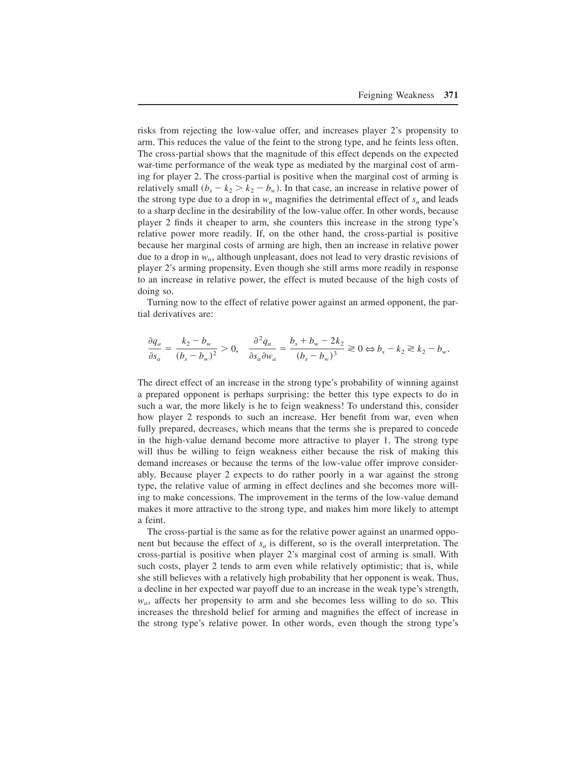risks from rejecting the low-value offer, and increases player 2's propensity to arm. This reduces the value of the feint to the strong type, and he feints less often. The cross-partial shows that the magnitude of this effect depends on the expected war-time performance of the weak type as mediated by the marginal cost of arming for player 2. The cross-partial is positive when the marginal cost of arming is relatively small  $(b_s - k_2 > k_2 - b_w)$ . In that case, an increase in relative power of the strong type due to a drop in  $w_n$  magnifies the detrimental effect of  $s_n$  and leads to a sharp decline in the desirability of the low-value offer. In other words, because player 2 finds it cheaper to arm, she counters this increase in the strong type's relative power more readily. If, on the other hand, the cross-partial is positive because her marginal costs of arming are high, then an increase in relative power due to a drop in  $w_n$ , although unpleasant, does not lead to very drastic revisions of player 2's arming propensity+ Even though she still arms more readily in response to an increase in relative power, the effect is muted because of the high costs of doing so.

Turning now to the effect of relative power against an armed opponent, the partial derivatives are:

$$
\frac{\partial q_a}{\partial s_a} = \frac{k_2 - b_w}{(b_s - b_w)^2} > 0, \quad \frac{\partial^2 q_a}{\partial s_a \partial w_a} = \frac{b_s + b_w - 2k_2}{(b_s - b_w)^3} \ge 0 \Leftrightarrow b_s - k_2 \ge k_2 - b_w.
$$

The direct effect of an increase in the strong type's probability of winning against a prepared opponent is perhaps surprising: the better this type expects to do in such a war, the more likely is he to feign weakness! To understand this, consider how player 2 responds to such an increase. Her benefit from war, even when fully prepared, decreases, which means that the terms she is prepared to concede in the high-value demand become more attractive to player 1. The strong type will thus be willing to feign weakness either because the risk of making this demand increases or because the terms of the low-value offer improve considerably. Because player 2 expects to do rather poorly in a war against the strong type, the relative value of arming in effect declines and she becomes more willing to make concessions. The improvement in the terms of the low-value demand makes it more attractive to the strong type, and makes him more likely to attempt a feint.

The cross-partial is the same as for the relative power against an unarmed opponent but because the effect of  $s_a$  is different, so is the overall interpretation. The cross-partial is positive when player 2's marginal cost of arming is small+ With such costs, player 2 tends to arm even while relatively optimistic; that is, while she still believes with a relatively high probability that her opponent is weak. Thus, a decline in her expected war payoff due to an increase in the weak type's strength,  $w_a$ , affects her propensity to arm and she becomes less willing to do so. This increases the threshold belief for arming and magnifies the effect of increase in the strong type's relative power. In other words, even though the strong type's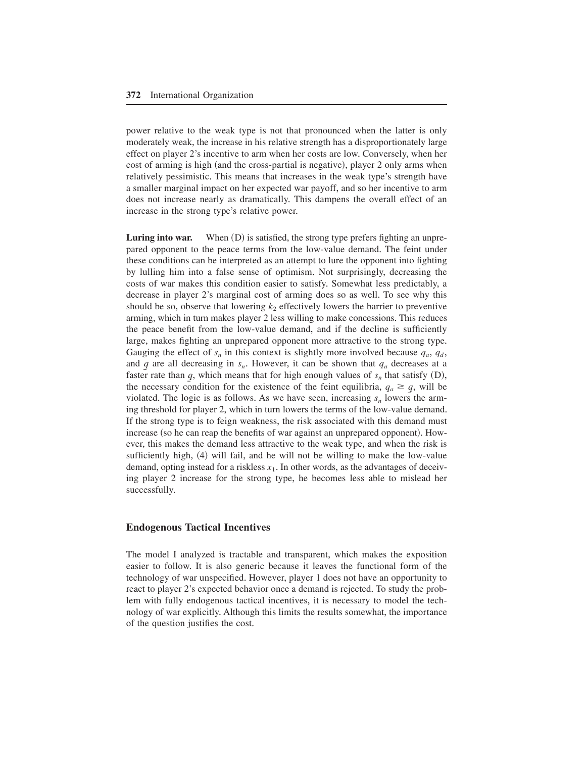power relative to the weak type is not that pronounced when the latter is only moderately weak, the increase in his relative strength has a disproportionately large effect on player 2's incentive to arm when her costs are low+ Conversely, when her cost of arming is high  $($ and the cross-partial is negative $)$ , player 2 only arms when relatively pessimistic. This means that increases in the weak type's strength have a smaller marginal impact on her expected war payoff, and so her incentive to arm does not increase nearly as dramatically. This dampens the overall effect of an increase in the strong type's relative power.

**Luring into war.** When (D) is satisfied, the strong type prefers fighting an unprepared opponent to the peace terms from the low-value demand. The feint under these conditions can be interpreted as an attempt to lure the opponent into fighting by lulling him into a false sense of optimism+ Not surprisingly, decreasing the costs of war makes this condition easier to satisfy. Somewhat less predictably, a decrease in player 2's marginal cost of arming does so as well. To see why this should be so, observe that lowering  $k_2$  effectively lowers the barrier to preventive arming, which in turn makes player 2 less willing to make concessions+ This reduces the peace benefit from the low-value demand, and if the decline is sufficiently large, makes fighting an unprepared opponent more attractive to the strong type. Gauging the effect of  $s_n$  in this context is slightly more involved because  $q_a$ ,  $q_d$ , and *q* are all decreasing in  $s_n$ . However, it can be shown that  $q_a$  decreases at a faster rate than  $q$ , which means that for high enough values of  $s_n$  that satisfy  $(D)$ , the necessary condition for the existence of the feint equilibria,  $q_a \geq q$ , will be violated. The logic is as follows. As we have seen, increasing  $s_n$  lowers the arming threshold for player 2, which in turn lowers the terms of the low-value demand. If the strong type is to feign weakness, the risk associated with this demand must increase (so he can reap the benefits of war against an unprepared opponent). However, this makes the demand less attractive to the weak type, and when the risk is sufficiently high,  $(4)$  will fail, and he will not be willing to make the low-value demand, opting instead for a riskless  $x_1$ . In other words, as the advantages of deceiving player 2 increase for the strong type, he becomes less able to mislead her successfully.

# **Endogenous Tactical Incentives**

The model I analyzed is tractable and transparent, which makes the exposition easier to follow. It is also generic because it leaves the functional form of the technology of war unspecified. However, player 1 does not have an opportunity to react to player 2's expected behavior once a demand is rejected. To study the problem with fully endogenous tactical incentives, it is necessary to model the technology of war explicitly. Although this limits the results somewhat, the importance of the question justifies the cost.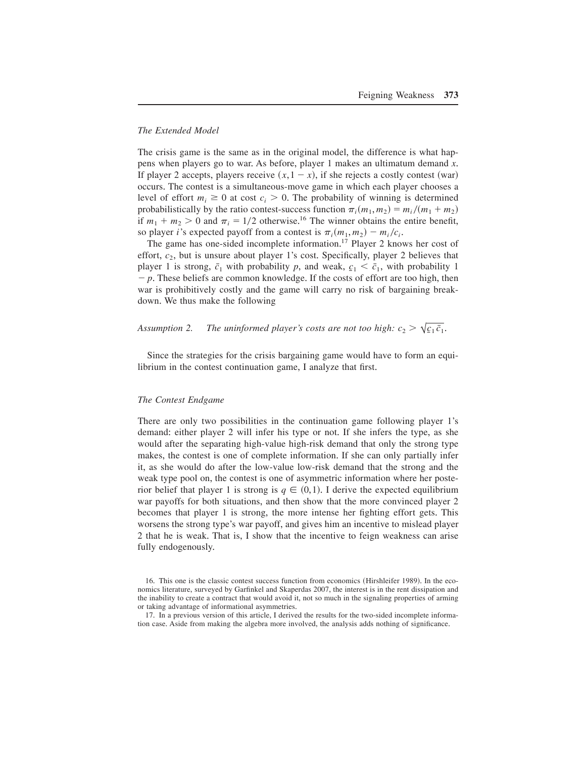# *The Extended Model*

The crisis game is the same as in the original model, the difference is what happens when players go to war. As before, player 1 makes an ultimatum demand *x*. If player 2 accepts, players receive  $(x,1-x)$ , if she rejects a costly contest (war) occurs. The contest is a simultaneous-move game in which each player chooses a level of effort  $m_i \geq 0$  at cost  $c_i > 0$ . The probability of winning is determined probabilistically by the ratio contest-success function  $\pi_i(m_1, m_2) = m_i/(m_1 + m_2)$ if  $m_1 + m_2 > 0$  and  $\pi_i = 1/2$  otherwise.<sup>16</sup> The winner obtains the entire benefit, so player *i*'s expected payoff from a contest is  $\pi_i(m_1, m_2) - m_i/c_i$ .

The game has one-sided incomplete information.<sup>17</sup> Player 2 knows her cost of effort,  $c_2$ , but is unsure about player 1's cost. Specifically, player 2 believes that player 1 is strong,  $\bar{c}_1$  with probability *p*, and weak,  $c_1 < \bar{c}_1$ , with probability 1  $-p$ . These beliefs are common knowledge. If the costs of effort are too high, then war is prohibitively costly and the game will carry no risk of bargaining breakdown. We thus make the following

Assumption 2. The uninformed player's costs are not too high:  $c_2 > \sqrt{c_1} \bar{c}_1$ .

Since the strategies for the crisis bargaining game would have to form an equilibrium in the contest continuation game, I analyze that first.

#### *The Contest Endgame*

There are only two possibilities in the continuation game following player 1's demand: either player 2 will infer his type or not. If she infers the type, as she would after the separating high-value high-risk demand that only the strong type makes, the contest is one of complete information. If she can only partially infer it, as she would do after the low-value low-risk demand that the strong and the weak type pool on, the contest is one of asymmetric information where her posterior belief that player 1 is strong is  $q \in (0,1)$ . I derive the expected equilibrium war payoffs for both situations, and then show that the more convinced player 2 becomes that player 1 is strong, the more intense her fighting effort gets. This worsens the strong type's war payoff, and gives him an incentive to mislead player 2 that he is weak. That is, I show that the incentive to feign weakness can arise fully endogenously.

17. In a previous version of this article, I derived the results for the two-sided incomplete information case. Aside from making the algebra more involved, the analysis adds nothing of significance.

<sup>16.</sup> This one is the classic contest success function from economics (Hirshleifer 1989). In the economics literature, surveyed by Garfinkel and Skaperdas 2007, the interest is in the rent dissipation and the inability to create a contract that would avoid it, not so much in the signaling properties of arming or taking advantage of informational asymmetries.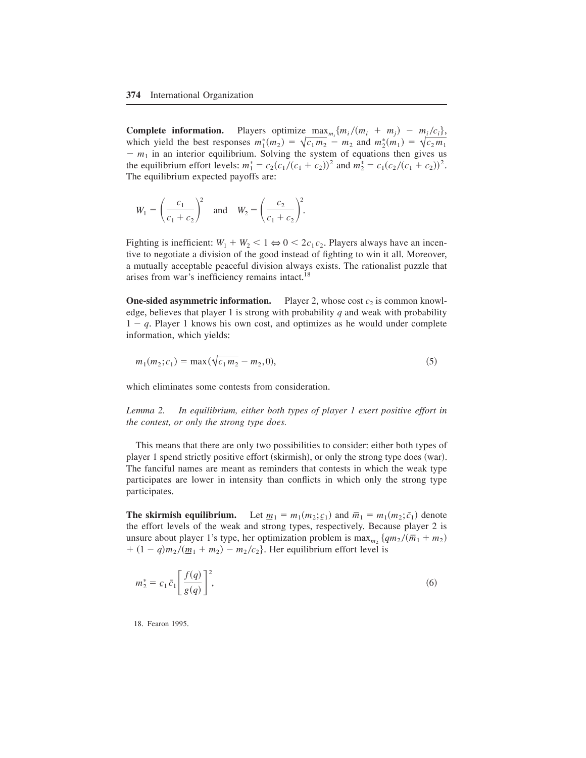**Complete information.** Players optimize max<sub>*mi*</sub>  ${m_i / (m_i + m_j)} - m_i / c_i},$ which yield the best responses  $m_1^*(m_2) = \sqrt{c_1 m_2 - m_2}$  and  $m_2^*(m_1) = \sqrt{c_2 m_1}$  $- m_1$  in an interior equilibrium. Solving the system of equations then gives us the equilibrium effort levels:  $m_1^* = c_2(c_1/(c_1 + c_2))^2$  and  $m_2^* = c_1(c_2/(c_1 + c_2))^2$ . The equilibrium expected payoffs are:

$$
W_1 = \left(\frac{c_1}{c_1 + c_2}\right)^2
$$
 and  $W_2 = \left(\frac{c_2}{c_1 + c_2}\right)^2$ .

Fighting is inefficient:  $W_1 + W_2 < 1 \Leftrightarrow 0 < 2c_1c_2$ . Players always have an incentive to negotiate a division of the good instead of fighting to win it all. Moreover, a mutually acceptable peaceful division always exists. The rationalist puzzle that arises from war's inefficiency remains intact. $^{18}$ 

**One-sided asymmetric information.** Player 2, whose cost  $c_2$  is common knowledge, believes that player 1 is strong with probability *q* and weak with probability  $1 - q$ . Player 1 knows his own cost, and optimizes as he would under complete information, which yields:

$$
m_1(m_2; c_1) = \max(\sqrt{c_1 m_2} - m_2, 0),\tag{5}
$$

which eliminates some contests from consideration.

*Lemma 2. In equilibrium, either both types of player 1 exert positive effort in the contest, or only the strong type does.*

This means that there are only two possibilities to consider: either both types of player 1 spend strictly positive effort (skirmish), or only the strong type does (war). The fanciful names are meant as reminders that contests in which the weak type participates are lower in intensity than conflicts in which only the strong type participates.

**The skirmish equilibrium.** Let  $\underline{m}_1 = m_1(m_2; c_1)$  and  $\overline{m}_1 = m_1(m_2; \overline{c}_1)$  denote the effort levels of the weak and strong types, respectively. Because player 2 is unsure about player 1's type, her optimization problem is  $\max_{m_2} \{qm_2/(\bar{m}_1 + m_2)\}$  $+ (1 - q)m_2/(\underline{m}_1 + \underline{m}_2) - m_2/c_2$ . Her equilibrium effort level is

$$
m_2^* = \underline{c}_1 \overline{c}_1 \left[ \frac{f(q)}{g(q)} \right]^2,\tag{6}
$$

18. Fearon 1995.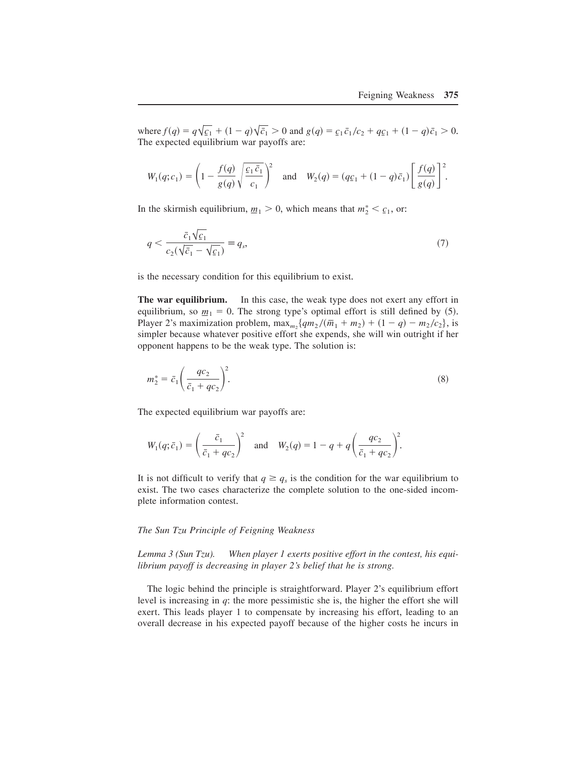where  $f(q) = q\sqrt{c_1 + (1-q)\sqrt{c_1}} > 0$  and  $g(q) = c_1 \bar{c_1}/c_2 + qc_1 + (1-q)\bar{c_1} > 0$ . The expected equilibrium war payoffs are:

$$
W_1(q;c_1) = \left(1 - \frac{f(q)}{g(q)} \sqrt{\frac{c_1 \bar{c}_1}{c_1}}\right)^2 \quad \text{and} \quad W_2(q) = (q c_1 + (1 - q) \bar{c}_1) \left[\frac{f(q)}{g(q)}\right]^2.
$$

In the skirmish equilibrium,  $m_1 > 0$ , which means that  $m_2^* < \mathcal{C}_1$ , or:

$$
q < \frac{\bar{c}_1 \sqrt{\underline{c}_1}}{c_2(\sqrt{\bar{c}_1} - \sqrt{\underline{c}_1})} \equiv q_s,\tag{7}
$$

is the necessary condition for this equilibrium to exist.

**The war equilibrium.** In this case, the weak type does not exert any effort in equilibrium, so  $m_1 = 0$ . The strong type's optimal effort is still defined by (5). Player 2's maximization problem,  $\max_{m_2} \{qm_2/(\bar{m}_1 + m_2) + (1 - q) - m_2/c_2\}$ , is simpler because whatever positive effort she expends, she will win outright if her opponent happens to be the weak type. The solution is:

$$
m_2^* = \bar{c}_1 \left(\frac{qc_2}{\bar{c}_1 + qc_2}\right)^2.
$$
\n
$$
(8)
$$

The expected equilibrium war payoffs are:

$$
W_1(q; \bar{c}_1) = \left(\frac{\bar{c}_1}{\bar{c}_1 + qc_2}\right)^2 \quad \text{and} \quad W_2(q) = 1 - q + q \left(\frac{qc_2}{\bar{c}_1 + qc_2}\right)^2.
$$

It is not difficult to verify that  $q \geq q_s$  is the condition for the war equilibrium to exist. The two cases characterize the complete solution to the one-sided incomplete information contest.

#### *The Sun Tzu Principle of Feigning Weakness*

*Lemma 3 (Sun Tzu). When player 1 exerts positive effort in the contest, his equilibrium payoff is decreasing in player 2's belief that he is strong.*

The logic behind the principle is straightforward. Player 2's equilibrium effort level is increasing in *q*: the more pessimistic she is, the higher the effort she will exert. This leads player 1 to compensate by increasing his effort, leading to an overall decrease in his expected payoff because of the higher costs he incurs in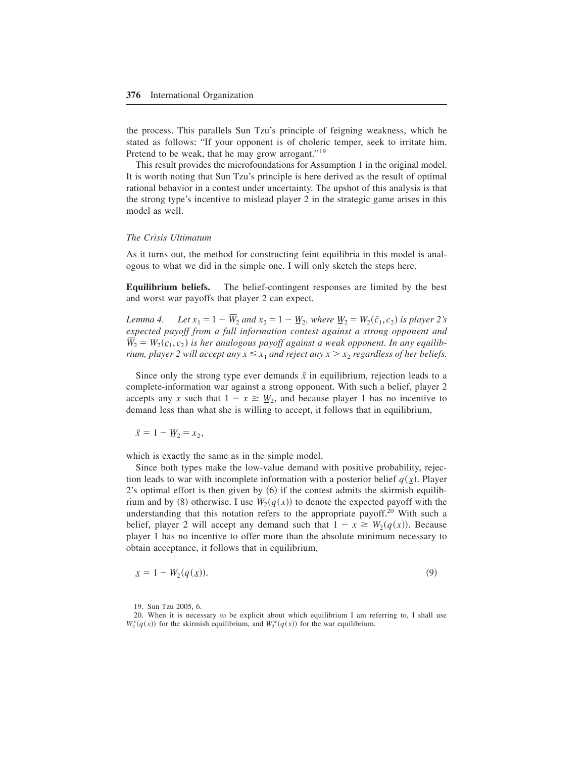the process. This parallels Sun Tzu's principle of feigning weakness, which he stated as follows: "If your opponent is of choleric temper, seek to irritate him. Pretend to be weak, that he may grow arrogant."<sup>19</sup>

This result provides the microfoundations for Assumption 1 in the original model. It is worth noting that Sun Tzu's principle is here derived as the result of optimal rational behavior in a contest under uncertainty. The upshot of this analysis is that the strong type's incentive to mislead player 2 in the strategic game arises in this model as well.

#### *The Crisis Ultimatum*

As it turns out, the method for constructing feint equilibria in this model is analogous to what we did in the simple one. I will only sketch the steps here.

**Equilibrium beliefs.** The belief-contingent responses are limited by the best and worst war payoffs that player 2 can expect.

*Lemma 4.* Let  $x_1 = 1 - W_2$  and  $x_2 = 1 - W_2$ , where  $W_2 = W_2(\bar{c}_1, c_2)$  is player 2's *expected payoff from a full information contest against a strong opponent and*  $\overline{W}_2 = W_2(\underline{c}_1, \underline{c}_2)$  *is her analogous payoff against a weak opponent. In any equilibrium, player 2 will accept any*  $x \leq x_1$  *and reject any*  $x > x_2$  *regardless of her beliefs.* 

Since only the strong type ever demands  $\bar{x}$  in equilibrium, rejection leads to a complete-information war against a strong opponent. With such a belief, player 2 accepts any *x* such that  $1 - x \geq \underline{W}_2$ , and because player 1 has no incentive to demand less than what she is willing to accept, it follows that in equilibrium,

$$
\bar{x}=1-\underline{W}_2=x_2,
$$

which is exactly the same as in the simple model.

Since both types make the low-value demand with positive probability, rejection leads to war with incomplete information with a posterior belief  $q(x)$ . Player  $2$ 's optimal effort is then given by  $(6)$  if the contest admits the skirmish equilibrium and by (8) otherwise. I use  $W_2(q(x))$  to denote the expected payoff with the understanding that this notation refers to the appropriate payoff.<sup>20</sup> With such a belief, player 2 will accept any demand such that  $1 - x \ge W_2(q(x))$ . Because player 1 has no incentive to offer more than the absolute minimum necessary to obtain acceptance, it follows that in equilibrium,

$$
\underline{x} = 1 - W_2(q(\underline{x})). \tag{9}
$$

19. Sun Tzu 2005, 6.

<sup>20.</sup> When it is necessary to be explicit about which equilibrium I am referring to, I shall use  $W_2^s(q(x))$  for the skirmish equilibrium, and  $W_2^w(q(x))$  for the war equilibrium.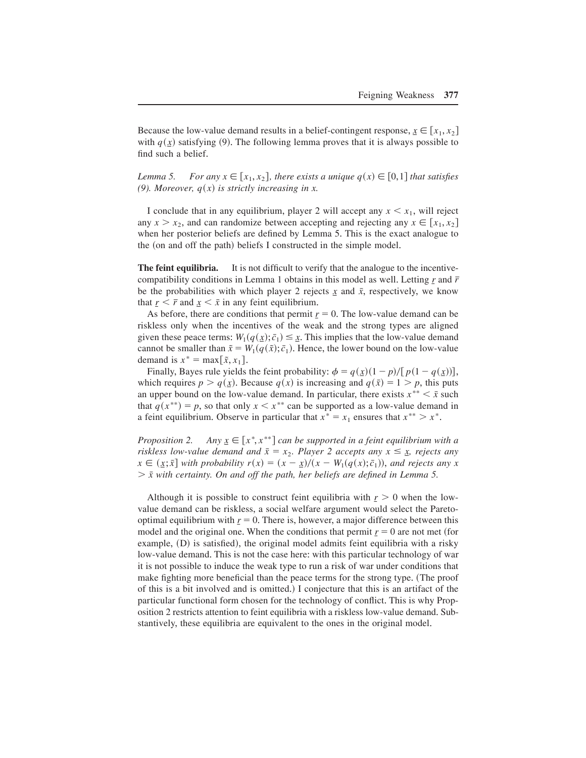Because the low-value demand results in a belief-contingent response,  $\underline{x} \in [x_1, x_2]$ with  $q(x)$  satisfying (9). The following lemma proves that it is always possible to find such a belief.

*Lemma 5.* For any  $x \in [x_1, x_2]$ , there exists a unique  $q(x) \in [0, 1]$  that satisfies (9). Moreover,  $q(x)$  is strictly increasing in x.

I conclude that in any equilibrium, player 2 will accept any  $x \leq x_1$ , will reject any  $x > x_2$ , and can randomize between accepting and rejecting any  $x \in [x_1, x_2]$ when her posterior beliefs are defined by Lemma 5. This is the exact analogue to the  $($ on and off the path $)$  beliefs I constructed in the simple model.

**The feint equilibria.** It is not difficult to verify that the analogue to the incentivecompatibility conditions in Lemma 1 obtains in this model as well. Letting *r* and  $\bar{r}$ be the probabilities with which player 2 rejects  $\dot{x}$  and  $\bar{x}$ , respectively, we know that  $r < \bar{r}$  and  $x < \bar{x}$  in any feint equilibrium.

As before, there are conditions that permit  $r = 0$ . The low-value demand can be riskless only when the incentives of the weak and the strong types are aligned given these peace terms:  $W_1(q(\underline{x}); \bar{c}_1) \leq \underline{x}$ . This implies that the low-value demand cannot be smaller than  $\tilde{x} = W_1(q(\tilde{x}); \bar{c}_1)$ . Hence, the lower bound on the low-value demand is  $x^* = \max[\tilde{x}, x_1].$ 

Finally, Bayes rule yields the feint probability:  $\phi = q(\underline{x})(1 - p)/[p(1 - q(\underline{x}))]$ , which requires  $p > q(x)$ . Because  $q(x)$  is increasing and  $q(\bar{x}) = 1 > p$ , this puts an upper bound on the low-value demand. In particular, there exists  $x^{**} \leq \bar{x}$  such that  $q(x^{**}) = p$ , so that only  $x \leq x^{**}$  can be supported as a low-value demand in a feint equilibrium. Observe in particular that  $x^* = x_1$  ensures that  $x^{**} > x^*$ .

*Proposition 2.*  $\in$   $[x^*, x^{**}]$  can be supported in a feint equilibrium with a *riskless low-value demand and*  $\bar{x} = x_2$ . Player 2 accepts any  $x \leq \underline{x}$ , rejects any  $x \in (x; \bar{x}]$  with probability  $r(x) = (x - \bar{x})/(x - W_1(q(x); \bar{c}_1))$ , and rejects any x  $> \bar{x}$  with certainty. On and off the path, her beliefs are defined in Lemma 5.

Although it is possible to construct feint equilibria with  $r>0$  when the lowvalue demand can be riskless, a social welfare argument would select the Paretooptimal equilibrium with  $r = 0$ . There is, however, a major difference between this model and the original one. When the conditions that permit  $r = 0$  are not met (for example, (D) is satisfied), the original model admits feint equilibria with a risky low-value demand. This is not the case here: with this particular technology of war it is not possible to induce the weak type to run a risk of war under conditions that make fighting more beneficial than the peace terms for the strong type. (The proof of this is a bit involved and is omitted.) I conjecture that this is an artifact of the particular functional form chosen for the technology of conflict. This is why Proposition 2 restricts attention to feint equilibria with a riskless low-value demand+ Substantively, these equilibria are equivalent to the ones in the original model.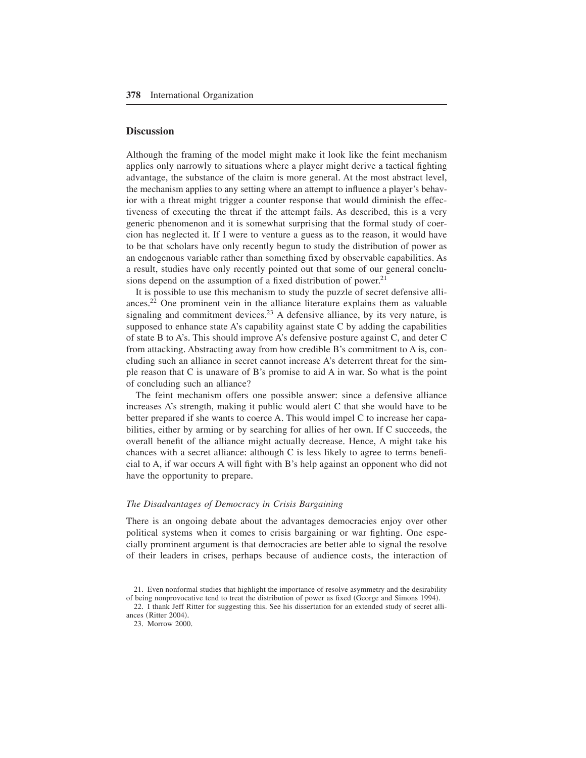# **Discussion**

Although the framing of the model might make it look like the feint mechanism applies only narrowly to situations where a player might derive a tactical fighting advantage, the substance of the claim is more general. At the most abstract level, the mechanism applies to any setting where an attempt to influence a player's behavior with a threat might trigger a counter response that would diminish the effectiveness of executing the threat if the attempt fails. As described, this is a very generic phenomenon and it is somewhat surprising that the formal study of coercion has neglected it. If I were to venture a guess as to the reason, it would have to be that scholars have only recently begun to study the distribution of power as an endogenous variable rather than something fixed by observable capabilities. As a result, studies have only recently pointed out that some of our general conclusions depend on the assumption of a fixed distribution of power.<sup>21</sup>

It is possible to use this mechanism to study the puzzle of secret defensive alliances.<sup>22</sup> One prominent vein in the alliance literature explains them as valuable signaling and commitment devices.<sup>23</sup> A defensive alliance, by its very nature, is supposed to enhance state A's capability against state C by adding the capabilities of state B to A's. This should improve A's defensive posture against C, and deter  $C$ from attacking. Abstracting away from how credible B's commitment to A is, concluding such an alliance in secret cannot increase A's deterrent threat for the simple reason that  $C$  is unaware of  $B$ 's promise to aid  $A$  in war. So what is the point of concluding such an alliance?

The feint mechanism offers one possible answer: since a defensive alliance increases A's strength, making it public would alert C that she would have to be better prepared if she wants to coerce A. This would impel C to increase her capabilities, either by arming or by searching for allies of her own. If C succeeds, the overall benefit of the alliance might actually decrease. Hence, A might take his chances with a secret alliance: although C is less likely to agree to terms beneficial to A, if war occurs A will fight with B's help against an opponent who did not have the opportunity to prepare.

#### *The Disadvantages of Democracy in Crisis Bargaining*

There is an ongoing debate about the advantages democracies enjoy over other political systems when it comes to crisis bargaining or war fighting. One especially prominent argument is that democracies are better able to signal the resolve of their leaders in crises, perhaps because of audience costs, the interaction of

22. I thank Jeff Ritter for suggesting this. See his dissertation for an extended study of secret alliances (Ritter 2004).

23. Morrow 2000.

<sup>21.</sup> Even nonformal studies that highlight the importance of resolve asymmetry and the desirability of being nonprovocative tend to treat the distribution of power as fixed (George and Simons 1994).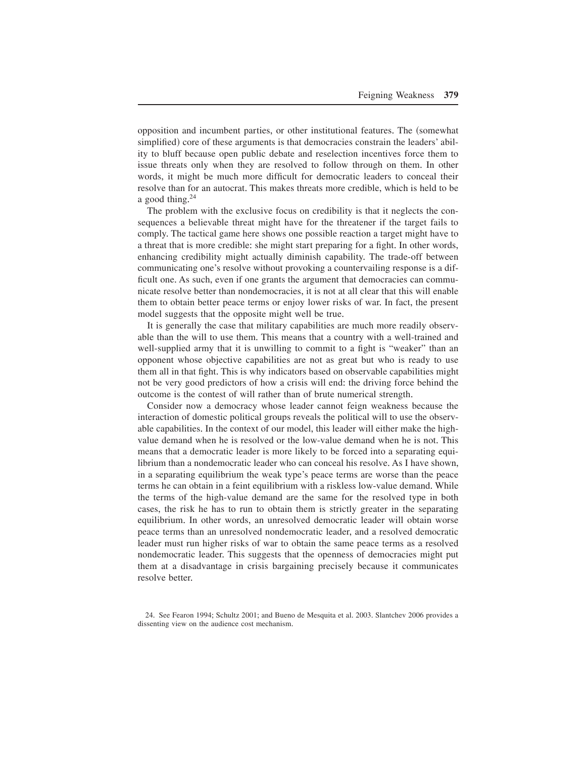opposition and incumbent parties, or other institutional features. The (somewhat simplified) core of these arguments is that democracies constrain the leaders' ability to bluff because open public debate and reselection incentives force them to issue threats only when they are resolved to follow through on them. In other words, it might be much more difficult for democratic leaders to conceal their resolve than for an autocrat. This makes threats more credible, which is held to be a good thing. $24$ 

The problem with the exclusive focus on credibility is that it neglects the consequences a believable threat might have for the threatener if the target fails to comply. The tactical game here shows one possible reaction a target might have to a threat that is more credible: she might start preparing for a fight. In other words, enhancing credibility might actually diminish capability. The trade-off between communicating one's resolve without provoking a countervailing response is a difficult one. As such, even if one grants the argument that democracies can communicate resolve better than nondemocracies, it is not at all clear that this will enable them to obtain better peace terms or enjoy lower risks of war. In fact, the present model suggests that the opposite might well be true.

It is generally the case that military capabilities are much more readily observable than the will to use them. This means that a country with a well-trained and well-supplied army that it is unwilling to commit to a fight is "weaker" than an opponent whose objective capabilities are not as great but who is ready to use them all in that fight. This is why indicators based on observable capabilities might not be very good predictors of how a crisis will end: the driving force behind the outcome is the contest of will rather than of brute numerical strength.

Consider now a democracy whose leader cannot feign weakness because the interaction of domestic political groups reveals the political will to use the observable capabilities. In the context of our model, this leader will either make the highvalue demand when he is resolved or the low-value demand when he is not. This means that a democratic leader is more likely to be forced into a separating equilibrium than a nondemocratic leader who can conceal his resolve. As I have shown, in a separating equilibrium the weak type's peace terms are worse than the peace terms he can obtain in a feint equilibrium with a riskless low-value demand+ While the terms of the high-value demand are the same for the resolved type in both cases, the risk he has to run to obtain them is strictly greater in the separating equilibrium. In other words, an unresolved democratic leader will obtain worse peace terms than an unresolved nondemocratic leader, and a resolved democratic leader must run higher risks of war to obtain the same peace terms as a resolved nondemocratic leader. This suggests that the openness of democracies might put them at a disadvantage in crisis bargaining precisely because it communicates resolve better.

<sup>24.</sup> See Fearon 1994; Schultz 2001; and Bueno de Mesquita et al. 2003. Slantchev 2006 provides a dissenting view on the audience cost mechanism.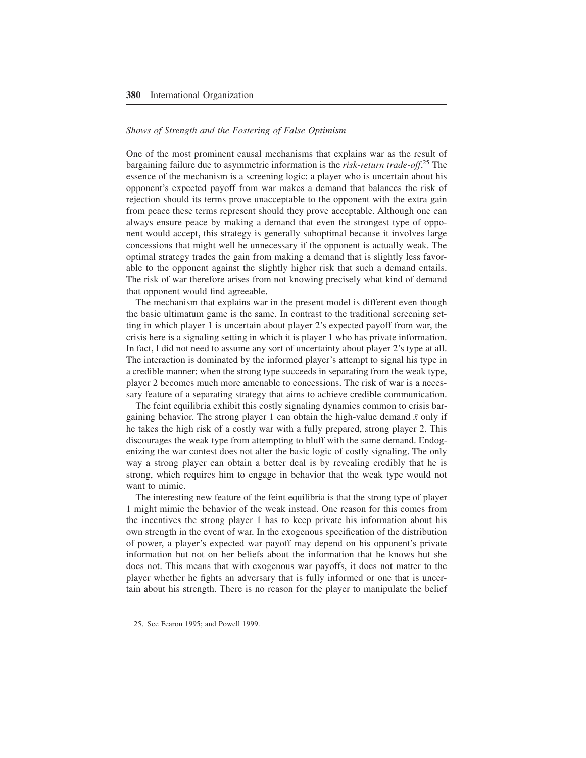# *Shows of Strength and the Fostering of False Optimism*

One of the most prominent causal mechanisms that explains war as the result of bargaining failure due to asymmetric information is the *risk-return trade-off*.<sup>25</sup> The essence of the mechanism is a screening logic: a player who is uncertain about his opponent's expected payoff from war makes a demand that balances the risk of rejection should its terms prove unacceptable to the opponent with the extra gain from peace these terms represent should they prove acceptable+ Although one can always ensure peace by making a demand that even the strongest type of opponent would accept, this strategy is generally suboptimal because it involves large concessions that might well be unnecessary if the opponent is actually weak. The optimal strategy trades the gain from making a demand that is slightly less favorable to the opponent against the slightly higher risk that such a demand entails. The risk of war therefore arises from not knowing precisely what kind of demand that opponent would find agreeable.

The mechanism that explains war in the present model is different even though the basic ultimatum game is the same. In contrast to the traditional screening setting in which player 1 is uncertain about player 2's expected payoff from war, the crisis here is a signaling setting in which it is player 1 who has private information+ In fact, I did not need to assume any sort of uncertainty about player 2's type at all. The interaction is dominated by the informed player's attempt to signal his type in a credible manner: when the strong type succeeds in separating from the weak type, player 2 becomes much more amenable to concessions. The risk of war is a necessary feature of a separating strategy that aims to achieve credible communication.

The feint equilibria exhibit this costly signaling dynamics common to crisis bargaining behavior. The strong player 1 can obtain the high-value demand  $\bar{x}$  only if he takes the high risk of a costly war with a fully prepared, strong player 2. This discourages the weak type from attempting to bluff with the same demand. Endogenizing the war contest does not alter the basic logic of costly signaling. The only way a strong player can obtain a better deal is by revealing credibly that he is strong, which requires him to engage in behavior that the weak type would not want to mimic.

The interesting new feature of the feint equilibria is that the strong type of player 1 might mimic the behavior of the weak instead. One reason for this comes from the incentives the strong player 1 has to keep private his information about his own strength in the event of war. In the exogenous specification of the distribution of power, a player's expected war payoff may depend on his opponent's private information but not on her beliefs about the information that he knows but she does not. This means that with exogenous war payoffs, it does not matter to the player whether he fights an adversary that is fully informed or one that is uncertain about his strength. There is no reason for the player to manipulate the belief

<sup>25.</sup> See Fearon 1995; and Powell 1999.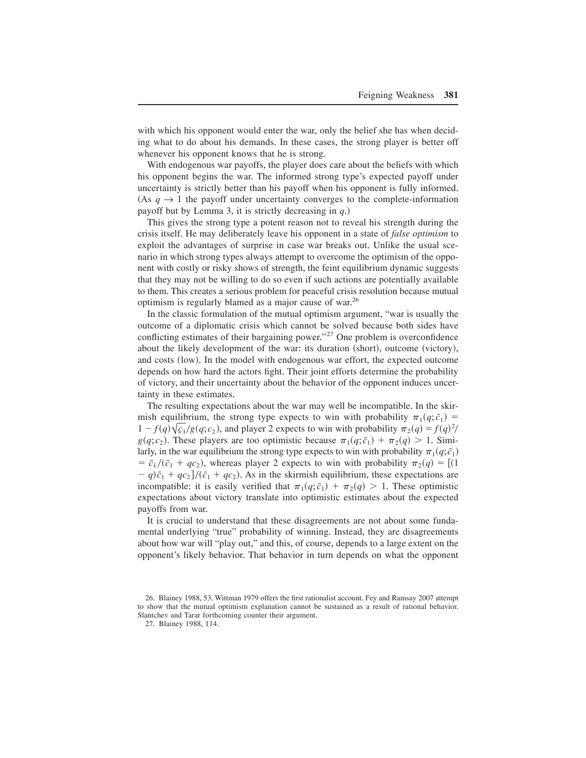with which his opponent would enter the war, only the belief she has when deciding what to do about his demands. In these cases, the strong player is better off whenever his opponent knows that he is strong.

With endogenous war payoffs, the player does care about the beliefs with which his opponent begins the war. The informed strong type's expected payoff under uncertainty is strictly better than his payoff when his opponent is fully informed. (As  $q \rightarrow 1$  the payoff under uncertainty converges to the complete-information payoff but by Lemma 3, it is strictly decreasing in  $q$ .)

This gives the strong type a potent reason not to reveal his strength during the crisis itself. He may deliberately leave his opponent in a state of *false optimism* to exploit the advantages of surprise in case war breaks out. Unlike the usual scenario in which strong types always attempt to overcome the optimism of the opponent with costly or risky shows of strength, the feint equilibrium dynamic suggests that they may not be willing to do so even if such actions are potentially available to them. This creates a serious problem for peaceful crisis resolution because mutual optimism is regularly blamed as a major cause of war.<sup>26</sup>

In the classic formulation of the mutual optimism argument, "war is usually the outcome of a diplomatic crisis which cannot be solved because both sides have conflicting estimates of their bargaining power."<sup>27</sup> One problem is overconfidence about the likely development of the war: its duration  $({\rm short})$ , outcome  $({\rm victory})$ , and costs (low). In the model with endogenous war effort, the expected outcome depends on how hard the actors fight. Their joint efforts determine the probability of victory, and their uncertainty about the behavior of the opponent induces uncertainty in these estimates.

The resulting expectations about the war may well be incompatible. In the skirmish equilibrium, the strong type expects to win with probability  $\pi_1(q; \bar{c}_1)$  $1 - f(q) \sqrt{\frac{c_1}{g}} (q; c_2)$ , and player 2 expects to win with probability  $\pi_2(q) = f(q)^2/2$  $g(q; c_2)$ . These players are too optimistic because  $\pi_1(q; \bar{c}_1) + \pi_2(q) > 1$ . Similarly, in the war equilibrium the strong type expects to win with probability  $\pi_1(q; \bar{c}_1)$  $\bar{c}_1/(\bar{c}_1 + qc_2)$ , whereas player 2 expects to win with probability  $\pi_2(q) = [(1$  $- q$ ) $\bar{c}_1 + qc_2$ / $(\bar{c}_1 + qc_2)$ . As in the skirmish equilibrium, these expectations are incompatible: it is easily verified that  $\pi_1(q; \bar{c}_1) + \pi_2(q) > 1$ . These optimistic expectations about victory translate into optimistic estimates about the expected payoffs from war.

It is crucial to understand that these disagreements are not about some fundamental underlying "true" probability of winning. Instead, they are disagreements about how war will "play out," and this, of course, depends to a large extent on the opponent's likely behavior. That behavior in turn depends on what the opponent

<sup>26.</sup> Blainey 1988, 53. Wittman 1979 offers the first rationalist account. Fey and Ramsay 2007 attempt to show that the mutual optimism explanation cannot be sustained as a result of rational behavior. Slantchev and Tarar forthcoming counter their argument.

<sup>27.</sup> Blainey 1988, 114.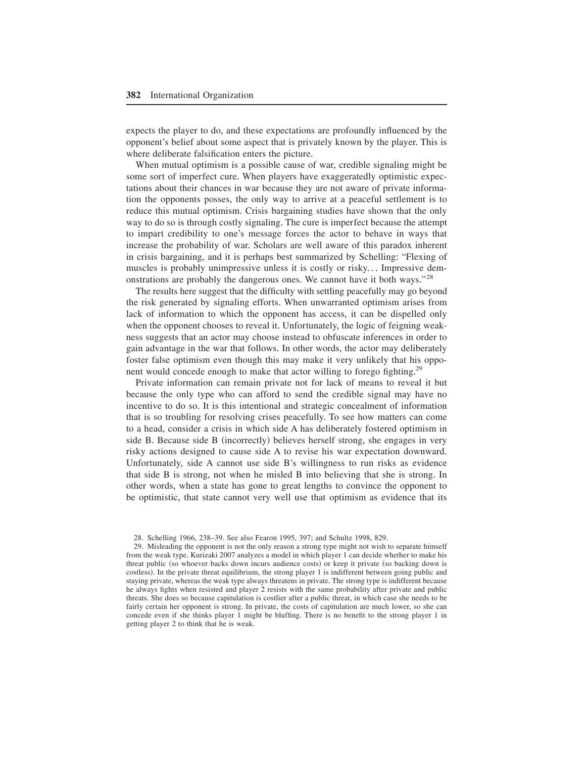expects the player to do, and these expectations are profoundly influenced by the opponent's belief about some aspect that is privately known by the player. This is where deliberate falsification enters the picture.

When mutual optimism is a possible cause of war, credible signaling might be some sort of imperfect cure. When players have exaggeratedly optimistic expectations about their chances in war because they are not aware of private information the opponents posses, the only way to arrive at a peaceful settlement is to reduce this mutual optimism. Crisis bargaining studies have shown that the only way to do so is through costly signaling+ The cure is imperfect because the attempt to impart credibility to one's message forces the actor to behave in ways that increase the probability of war. Scholars are well aware of this paradox inherent in crisis bargaining, and it is perhaps best summarized by Schelling: "Flexing of muscles is probably unimpressive unless it is costly or risky... Impressive demonstrations are probably the dangerous ones. We cannot have it both ways."<sup>28</sup>

The results here suggest that the difficulty with settling peacefully may go beyond the risk generated by signaling efforts. When unwarranted optimism arises from lack of information to which the opponent has access, it can be dispelled only when the opponent chooses to reveal it. Unfortunately, the logic of feigning weakness suggests that an actor may choose instead to obfuscate inferences in order to gain advantage in the war that follows. In other words, the actor may deliberately foster false optimism even though this may make it very unlikely that his opponent would concede enough to make that actor willing to forego fighting.<sup>29</sup>

Private information can remain private not for lack of means to reveal it but because the only type who can afford to send the credible signal may have no incentive to do so. It is this intentional and strategic concealment of information that is so troubling for resolving crises peacefully. To see how matters can come to a head, consider a crisis in which side A has deliberately fostered optimism in side B. Because side B (incorrectly) believes herself strong, she engages in very risky actions designed to cause side A to revise his war expectation downward. Unfortunately, side A cannot use side B's willingness to run risks as evidence that side B is strong, not when he misled B into believing that she is strong. In other words, when a state has gone to great lengths to convince the opponent to be optimistic, that state cannot very well use that optimism as evidence that its

29. Misleading the opponent is not the only reason a strong type might not wish to separate himself from the weak type. Kurizaki 2007 analyzes a model in which player 1 can decide whether to make his threat public (so whoever backs down incurs audience costs) or keep it private (so backing down is costless). In the private threat equilibrium, the strong player 1 is indifferent between going public and staying private, whereas the weak type always threatens in private. The strong type is indifferent because he always fights when resisted and player 2 resists with the same probability after private and public threats. She does so because capitulation is costlier after a public threat, in which case she needs to be fairly certain her opponent is strong. In private, the costs of capitulation are much lower, so she can concede even if she thinks player 1 might be bluffing. There is no benefit to the strong player 1 in getting player 2 to think that he is weak.

<sup>28.</sup> Schelling 1966, 238–39. See also Fearon 1995, 397; and Schultz 1998, 829.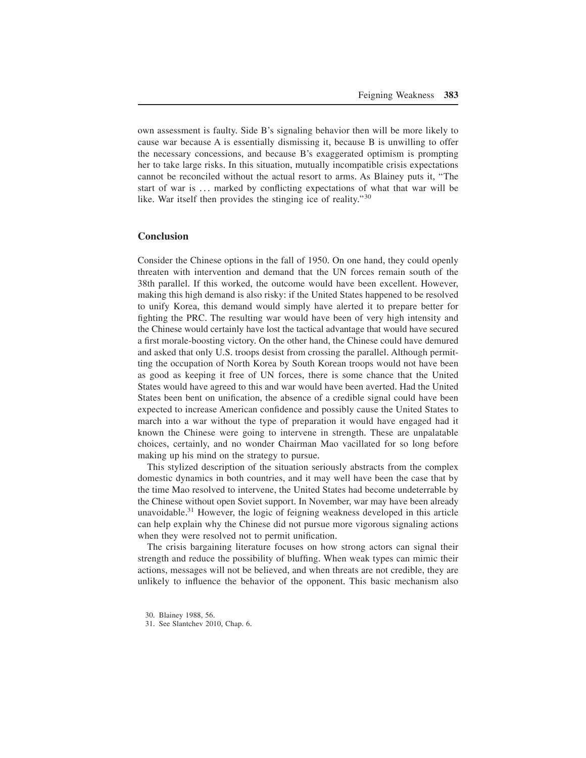own assessment is faulty. Side B's signaling behavior then will be more likely to cause war because A is essentially dismissing it, because B is unwilling to offer the necessary concessions, and because B's exaggerated optimism is prompting her to take large risks. In this situation, mutually incompatible crisis expectations cannot be reconciled without the actual resort to arms+ As Blainey puts it, "The start of war is  $\ldots$  marked by conflicting expectations of what that war will be like. War itself then provides the stinging ice of reality." $30$ 

# **Conclusion**

Consider the Chinese options in the fall of 1950. On one hand, they could openly threaten with intervention and demand that the UN forces remain south of the 38th parallel. If this worked, the outcome would have been excellent. However, making this high demand is also risky: if the United States happened to be resolved to unify Korea, this demand would simply have alerted it to prepare better for fighting the PRC. The resulting war would have been of very high intensity and the Chinese would certainly have lost the tactical advantage that would have secured a first morale-boosting victory+ On the other hand, the Chinese could have demured and asked that only U.S. troops desist from crossing the parallel. Although permitting the occupation of North Korea by South Korean troops would not have been as good as keeping it free of UN forces, there is some chance that the United States would have agreed to this and war would have been averted. Had the United States been bent on unification, the absence of a credible signal could have been expected to increase American confidence and possibly cause the United States to march into a war without the type of preparation it would have engaged had it known the Chinese were going to intervene in strength. These are unpalatable choices, certainly, and no wonder Chairman Mao vacillated for so long before making up his mind on the strategy to pursue.

This stylized description of the situation seriously abstracts from the complex domestic dynamics in both countries, and it may well have been the case that by the time Mao resolved to intervene, the United States had become undeterrable by the Chinese without open Soviet support. In November, war may have been already unavoidable.<sup>31</sup> However, the logic of feigning weakness developed in this article can help explain why the Chinese did not pursue more vigorous signaling actions when they were resolved not to permit unification.

The crisis bargaining literature focuses on how strong actors can signal their strength and reduce the possibility of bluffing. When weak types can mimic their actions, messages will not be believed, and when threats are not credible, they are unlikely to influence the behavior of the opponent. This basic mechanism also

30. Blainey 1988, 56.

31. See Slantchev 2010, Chap. 6.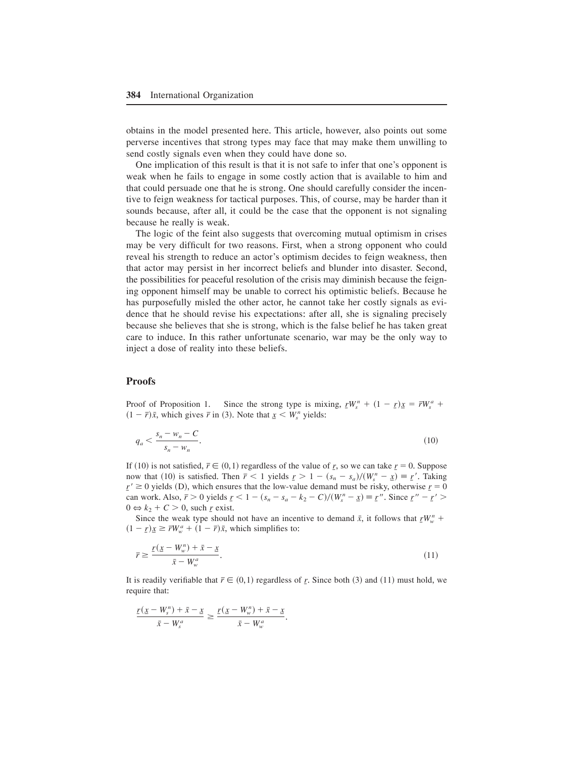obtains in the model presented here. This article, however, also points out some perverse incentives that strong types may face that may make them unwilling to send costly signals even when they could have done so.

One implication of this result is that it is not safe to infer that one's opponent is weak when he fails to engage in some costly action that is available to him and that could persuade one that he is strong+ One should carefully consider the incentive to feign weakness for tactical purposes. This, of course, may be harder than it sounds because, after all, it could be the case that the opponent is not signaling because he really is weak.

The logic of the feint also suggests that overcoming mutual optimism in crises may be very difficult for two reasons. First, when a strong opponent who could reveal his strength to reduce an actor's optimism decides to feign weakness, then that actor may persist in her incorrect beliefs and blunder into disaster. Second, the possibilities for peaceful resolution of the crisis may diminish because the feigning opponent himself may be unable to correct his optimistic beliefs. Because he has purposefully misled the other actor, he cannot take her costly signals as evidence that he should revise his expectations: after all, she is signaling precisely because she believes that she is strong, which is the false belief he has taken great care to induce. In this rather unfortunate scenario, war may be the only way to inject a dose of reality into these beliefs.

# **Proofs**

Proof of Proposition 1. Since the strong type is mixing,  $rW_s^n + (1 - r)x = \bar{r}W_s^a +$  $(1 - \bar{r})\bar{x}$ , which gives  $\bar{r}$  in (3). Note that  $\bar{x} < W_s^n$  yields:

$$
q_a < \frac{s_n - w_n - C}{s_n - w_n}.\tag{10}
$$

If (10) is not satisfied,  $\bar{r} \in (0,1)$  regardless of the value of *<u>r</u>*, so we can take  $\bar{r} = 0$ . Suppose now that (10) is satisfied. Then  $\bar{r} < 1$  yields  $\bar{r} > 1 - (s_n - s_a)/(W_s^n - \underline{x}) \equiv \underline{r}'$ . Taking  $r' \ge 0$  yields (D), which ensures that the low-value demand must be risky, otherwise  $r = 0$ can work. Also,  $\bar{r} > 0$  yields  $r \leq 1 - (s_n - s_a - k_2 - C)/(W_s^n - x) \equiv r''$ . Since  $r'' - r' >$  $0 \Leftrightarrow k_2 + C > 0$ , such *r* exist.

Since the weak type should not have an incentive to demand  $\bar{x}$ , it follows that  $\bar{r}W_w^n$  +  $(1 - r)x \geq \overline{r}W_w^a + (1 - \overline{r})\overline{x}$ , which simplifies to:

$$
\overline{r} \ge \frac{r(\underline{x} - W_w^n) + \overline{x} - \underline{x}}{\overline{x} - W_w^a}.\tag{11}
$$

It is readily verifiable that  $\bar{r} \in (0,1)$  regardless of <u>*r*</u>. Since both (3) and (11) must hold, we require that:

$$
\frac{r(\underline{x} - W_s^n) + \bar{x} - \underline{x}}{\bar{x} - W_s^a} \ge \frac{r(\underline{x} - W_w^n) + \bar{x} - \underline{x}}{\bar{x} - W_w^a}.
$$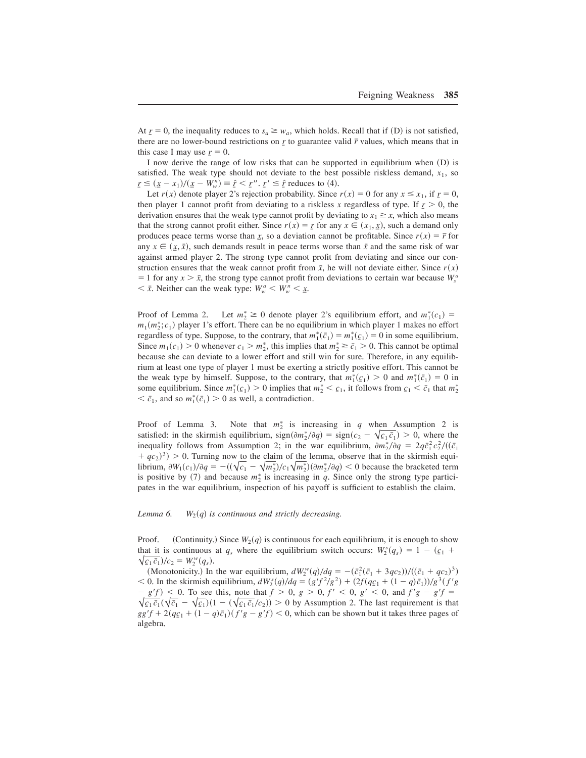At  $r = 0$ , the inequality reduces to  $s_a \geq w_a$ , which holds. Recall that if (D) is not satisfied, there are no lower-bound restrictions on  $r$  to guarantee valid  $\bar{r}$  values, which means that in this case I may use  $r = 0$ .

I now derive the range of low risks that can be supported in equilibrium when  $(D)$  is satisfied. The weak type should not deviate to the best possible riskless demand,  $x_1$ , so  $\underline{r} \leq (\underline{x} - x_1) / (\underline{x} - W_w^n) \equiv \hat{r} < \underline{r}''$ .  $\underline{r}' \leq \hat{r}$  reduces to (4).

Let *r*(*x*) denote player 2's rejection probability. Since *r*(*x*) = 0 for any  $x \le x_1$ , if  $r = 0$ , then player 1 cannot profit from deviating to a riskless *x* regardless of type. If  $r > 0$ , the derivation ensures that the weak type cannot profit by deviating to  $x_1 \ge x$ , which also means that the strong cannot profit either. Since  $r(x) = r$  for any  $x \in (x_1, x)$ , such a demand only produces peace terms worse than *x*, so a deviation cannot be profitable. Since  $r(x) = \overline{r}$  for any  $x \in (\underline{x}, \overline{x})$ , such demands result in peace terms worse than  $\overline{x}$  and the same risk of war against armed player 2. The strong type cannot profit from deviating and since our construction ensures that the weak cannot profit from  $\bar{x}$ , he will not deviate either. Since  $r(x)$  $=$  1 for any *x* >  $\bar{x}$ , the strong type cannot profit from deviations to certain war because  $W_s^a$  $\langle X \times \overline{X} \rangle$  *x*. Neither can the weak type:  $W_w^a \le W_w^n \le \underline{x}$ .

Proof of Lemma 2.  $z^* \geq 0$  denote player 2's equilibrium effort, and  $m_1^*(c_1) =$  $m_1(m_2^*; c_1)$  player 1's effort. There can be no equilibrium in which player 1 makes no effort regardless of type. Suppose, to the contrary, that  $m_1^*(\bar{c}_1) = m_1^*(\bar{c}_1) = 0$  in some equilibrium. Since  $m_1(c_1) > 0$  whenever  $c_1 > m_2^*$ , this implies that  $m_2^* \ge \bar{c}_1 > 0$ . This cannot be optimal because she can deviate to a lower effort and still win for sure+ Therefore, in any equilibrium at least one type of player 1 must be exerting a strictly positive effort. This cannot be the weak type by himself. Suppose, to the contrary, that  $m_1^*(c_1) > 0$  and  $m_1^*(\bar{c}_1) = 0$  in some equilibrium. Since  $m_1^*(c_1) > 0$  implies that  $m_2^* < c_1$ , it follows from  $c_1 < \bar{c}_1$  that  $m_2^*$  $\langle \bar{c}_1, \text{ and so } m_1^*(\bar{c}_1) \rangle > 0$  as well, a contradiction.

Proof of Lemma 3. Note that  $m_2^*$  is increasing in *q* when Assumption 2 is satisfied: in the skirmish equilibrium,  $\text{sign}(\partial m_2^*/\partial q) = \text{sign}(c_2 - \sqrt{c_1} \bar{c}_1) > 0$ , where the inequality follows from Assumption 2; in the war equilibrium,  $\partial m_2^* / \partial q = 2q \bar{c}_1^2 c_2^2 / ((\bar{c}_1$  $(qc_2)^3$  > 0. Turning now to the claim of the lemma, observe that in the skirmish equilibrium,  $\partial W_1(c_1)/\partial q = -((\sqrt{c_1} - \sqrt{m_2^*})/c_1\sqrt{m_2^*}) (\partial m_2^*/\partial q) < 0$  because the bracketed term is positive by (7) and because  $m_2^*$  is increasing in  $q$ . Since only the strong type participates in the war equilibrium, inspection of his payoff is sufficient to establish the claim.

#### *Lemma 6.*  $W_2(q)$  *is continuous and strictly decreasing.*

Proof. (Continuity.) Since  $W_2(q)$  is continuous for each equilibrium, it is enough to show that it is continuous at  $q_s$  where the equilibrium switch occurs:  $W_2^s(q_s) = 1 - (q_1 +$  $\sqrt{\frac{c_1 \bar{c}_1}{c_2}}$ / $c_2 = W_2^w(q_s).$ 

(Monotonicity.) In the war equilibrium,  $dW_2^w(q)/dq = -(\bar{c}_1^2(\bar{c}_1 + 3qc_2))/((\bar{c}_1 + qc_2)^3)$  $\langle 0, \ln \text{ the skirmish equilibrium, } dW_2^s(q) / dq = (g'f^2/g^2) + (2f(qc_1 + (1-q)\bar{c}_1))/g^3(f'g)$  $-\frac{g'}{f} \leq 0$ . To see this, note that  $f > 0$ ,  $g > 0$ ,  $f' < 0$ ,  $g' < 0$ , and  $f'g - g'f = 0$  $\sqrt{\frac{c_1}{c_1}}$   $(\sqrt{\overline{c}_1} - \sqrt{\overline{c}_1})(1 - (\sqrt{\overline{c}_1}/\overline{c}_1)/\overline{c}_2}) > 0$  by Assumption 2. The last requirement is that  $gg'f + 2(q_{\mathcal{L}_1} + (1 - q)\bar{c}_1)(f'g - g'f) < 0$ , which can be shown but it takes three pages of algebra.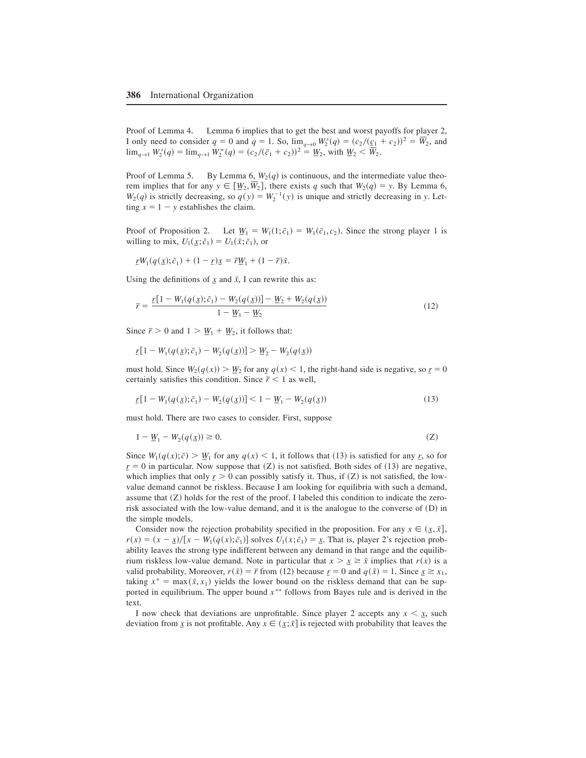Proof of Lemma 4. Lemma 6 implies that to get the best and worst payoffs for player 2, I only need to consider  $q = 0$  and  $q = 1$ . So,  $\lim_{q \to 0} W_2^s(q) = (c_2/(\underline{c_1} + c_2))^2 = \overline{W}_2$ , and  $\lim_{q \to 1} W_2^s(q) = \lim_{q \to 1} W_2^w(q) = (c_2/(\bar{c}_1 + c_2))^2 = \underline{W}_2$ , with  $\underline{W}_2 < \overline{W}_2$ .

Proof of Lemma 5. By Lemma 6,  $W_2(q)$  is continuous, and the intermediate value theorem implies that for any  $y \in [\underline{W}_2, W_2]$ , there exists *q* such that  $W_2(q) = y$ . By Lemma 6,  $W_2(q)$  is strictly decreasing, so  $q(y) = W_2^{-1}(y)$  is unique and strictly decreasing in *y*. Let- $\lim_{x \to 1}$  - *y* establishes the claim.

Proof of Proposition 2. Let  $\underline{W}_1 = W_1(1; \bar{c}_1) = W_1(\bar{c}_1, c_2)$ . Since the strong player 1 is willing to mix,  $U_1(\underline{x}; \bar{c}_1) = U_1(\bar{x}; \bar{c}_1)$ , or

 $rW_1(q(\underline{x}); \bar{c}_1) + (1 - \underline{r})\underline{x} = \bar{r}\underline{W}_1 + (1 - \bar{r})\bar{x}.$ 

Using the definitions of  $\overline{x}$  and  $\overline{x}$ , I can rewrite this as:

$$
\overline{r} = \frac{r[1 - W_1(q(\underline{x}); \overline{c}_1) - W_2(q(\underline{x}))] - W_2 + W_2(q(\underline{x}))}{1 - W_1 - W_2}
$$
\n(12)

Since  $\bar{r} > 0$  and  $1 > \underline{W}_1 + \underline{W}_2$ , it follows that:

$$
\underline{r}[1 - W_1(q(\underline{x}); \bar{c}_1) - W_2(q(\underline{x}))] > \underline{W}_2 - W_2(q(\underline{x}))
$$

must hold. Since  $W_2(q(x)) > W_2$  for any  $q(x) < 1$ , the right-hand side is negative, so  $r = 0$ certainly satisfies this condition. Since  $\bar{r}$  < 1 as well,

$$
\underline{r}[1 - W_1(q(\underline{x}); \bar{c}_1) - W_2(q(\underline{x}))] < 1 - \underline{W}_1 - W_2(q(\underline{x})) \tag{13}
$$

must hold. There are two cases to consider. First, suppose

$$
1 - \underline{W}_1 - W_2(q(\underline{x})) \ge 0. \tag{Z}
$$

Since  $W_1(q(x); \bar{c}) > W_1$  for any  $q(x) < 1$ , it follows that (13) is satisfied for any *r*, so for  $r = 0$  in particular. Now suppose that  $(Z)$  is not satisfied. Both sides of  $(13)$  are negative, which implies that only  $r > 0$  can possibly satisfy it. Thus, if  $(Z)$  is not satisfied, the lowvalue demand cannot be riskless. Because I am looking for equilibria with such a demand, assume that  $(Z)$  holds for the rest of the proof. I labeled this condition to indicate the zerorisk associated with the low-value demand, and it is the analogue to the converse of  $(D)$  in the simple models.

Consider now the rejection probability specified in the proposition. For any  $x \in (\underline{x}, \overline{x}]$ ,  $r(x) = (x - \underline{x})/[x - W_1(q(x); \bar{c}_1)]$  solves  $U_1(x; \bar{c}_1) = \underline{x}$ . That is, player 2's rejection probability leaves the strong type indifferent between any demand in that range and the equilibrium riskless low-value demand. Note in particular that  $x > x \geq \tilde{x}$  implies that  $r(x)$  is a valid probability. Moreover,  $r(\bar{x}) = \bar{r}$  from (12) because  $r = 0$  and  $q(\bar{x}) = 1$ . Since  $\bar{x} \ge x_1$ , taking  $x^* = \max(\tilde{x}, x_1)$  yields the lower bound on the riskless demand that can be supported in equilibrium. The upper bound  $x$ <sup>\*\*</sup> follows from Bayes rule and is derived in the text.

I now check that deviations are unprofitable. Since player 2 accepts any  $x \leq x$ , such deviation from  $\underline{x}$  is not profitable. Any  $x \in (\underline{x}; \overline{x}]$  is rejected with probability that leaves the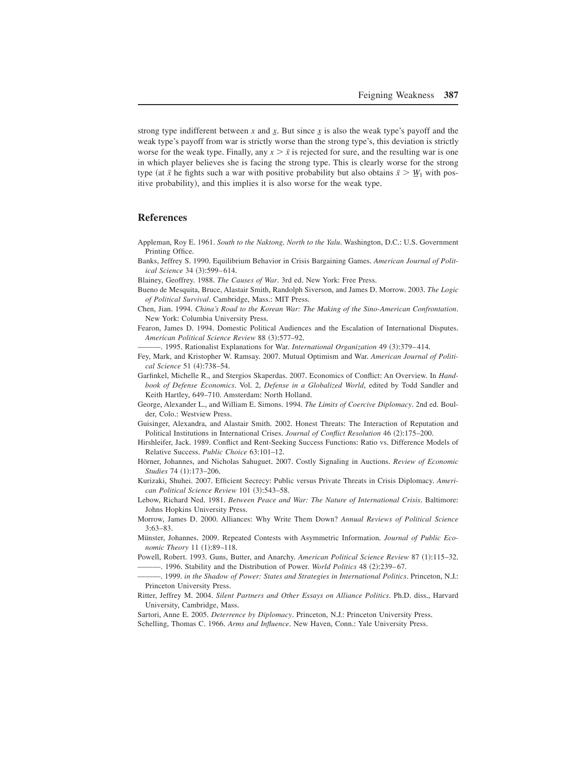strong type indifferent between *x* and  $\underline{x}$ . But since  $\underline{x}$  is also the weak type's payoff and the weak type's payoff from war is strictly worse than the strong type's, this deviation is strictly worse for the weak type. Finally, any  $x > \bar{x}$  is rejected for sure, and the resulting war is one in which player believes she is facing the strong type. This is clearly worse for the strong type (at  $\bar{x}$  he fights such a war with positive probability but also obtains  $\bar{x} > W_1$  with positive probability), and this implies it is also worse for the weak type.

# **References**

- Appleman, Roy E. 1961. *South to the Naktong, North to the Yalu*, Washington, D.C.: U.S. Government Printing Office.
- Banks, Jeffrey S. 1990. Equilibrium Behavior in Crisis Bargaining Games. *American Journal of Political Science* 34 (3):599-614.
- Blainey, Geoffrey. 1988. *The Causes of War*. 3rd ed. New York: Free Press.
- Bueno de Mesquita, Bruce, Alastair Smith, Randolph Siverson, and James D+ Morrow+ 2003+ *The Logic of Political Survival*. Cambridge, Mass.: MIT Press.
- Chen, Jian. 1994. *China's Road to the Korean War: The Making of the Sino-American Confrontation*. New York: Columbia University Press.
- Fearon, James D. 1994. Domestic Political Audiences and the Escalation of International Disputes. *American Political Science Review 88 (3):577–92.* 
	- —, 1995. Rationalist Explanations for War. *International Organization* 49 (3):379–414.
- Fey, Mark, and Kristopher W. Ramsay. 2007. Mutual Optimism and War. *American Journal of Political Science* 51 (4):738-54.
- Garfinkel, Michelle R., and Stergios Skaperdas. 2007. Economics of Conflict: An Overview. In *Handbook of Defense Economics*+ Vol+ 2, *Defense in a Globalized World*, edited by Todd Sandler and Keith Hartley, 649–710. Amsterdam: North Holland.
- George, Alexander L., and William E. Simons. 1994. *The Limits of Coercive Diplomacy*. 2nd ed. Boulder, Colo.: Westview Press.
- Guisinger, Alexandra, and Alastair Smith. 2002. Honest Threats: The Interaction of Reputation and Political Institutions in International Crises. *Journal of Conflict Resolution* 46 (2):175–200.
- Hirshleifer, Jack. 1989. Conflict and Rent-Seeking Success Functions: Ratio vs. Difference Models of Relative Success. *Public Choice* 63:101-12.
- Hörner, Johannes, and Nicholas Sahuguet. 2007. Costly Signaling in Auctions. *Review of Economic Studies* 74 (1):173-206.
- Kurizaki, Shuhei. 2007. Efficient Secrecy: Public versus Private Threats in Crisis Diplomacy. *American Political Science Review* 101 (3):543-58.
- Lebow, Richard Ned. 1981. *Between Peace and War: The Nature of International Crisis*. Baltimore: Johns Hopkins University Press.
- Morrow, James D+ 2000+ Alliances: Why Write Them Down? *Annual Reviews of Political Science*  $3:63-83.$
- Münster, Johannes. 2009. Repeated Contests with Asymmetric Information. *Journal of Public Economic Theory* 11 (1):89-118.
- Powell, Robert, 1993, Guns, Butter, and Anarchy, *American Political Science Review* 87 (1):115–32. — 1996. Stability and the Distribution of Power. *World Politics* 48 (2):239–67.

—, 1999. *in the Shadow of Power: States and Strategies in International Politics*. Princeton, N.J.: Princeton University Press.

- Ritter, Jeffrey M. 2004. *Silent Partners and Other Essays on Alliance Politics*. Ph.D. diss., Harvard University, Cambridge, Mass+
- Sartori, Anne E. 2005. *Deterrence by Diplomacy*. Princeton, N.J.: Princeton University Press.
- Schelling, Thomas C. 1966. *Arms and Influence*. New Haven, Conn.: Yale University Press.